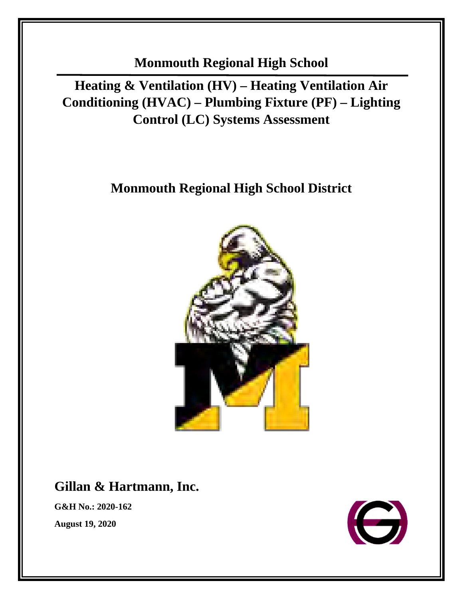**Monmouth Regional High School** 

**Heating & Ventilation (HV) – Heating Ventilation Air Conditioning (HVAC) – Plumbing Fixture (PF) – Lighting Control (LC) Systems Assessment**

# **Monmouth Regional High School District**



# **Gillan & Hartmann, Inc.**

**G&H No.: 2020-162** 

**August 19, 2020**

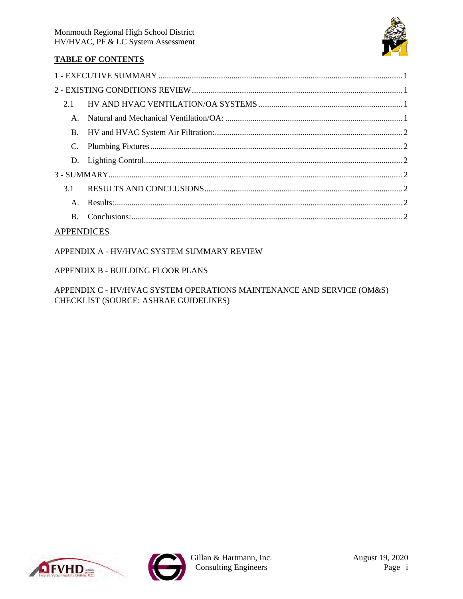

# **TABLE OF CONTENTS**

| 2.1            |  |
|----------------|--|
| $A_{-}$        |  |
|                |  |
|                |  |
|                |  |
|                |  |
| 3.1            |  |
| $A_{-}$        |  |
| $\mathbf{B}$ . |  |
|                |  |

# **APPENDICES**

APPENDIX A - HV/HVAC SYSTEM SUMMARY REVIEW

# APPENDIX B - BUILDING FLOOR PLANS

APPENDIX C - HV/HVAC SYSTEM OPERATIONS MAINTENANCE AND SERVICE (OM&S) CHECKLIST (SOURCE: ASHRAE GUIDELINES)



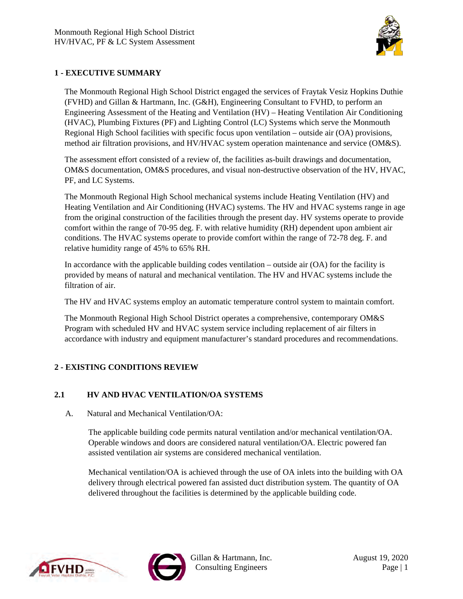

# **1 - EXECUTIVE SUMMARY**

The Monmouth Regional High School District engaged the services of Fraytak Vesiz Hopkins Duthie (FVHD) and Gillan & Hartmann, Inc. (G&H), Engineering Consultant to FVHD, to perform an Engineering Assessment of the Heating and Ventilation (HV) – Heating Ventilation Air Conditioning (HVAC), Plumbing Fixtures (PF) and Lighting Control (LC) Systems which serve the Monmouth Regional High School facilities with specific focus upon ventilation – outside air (OA) provisions, method air filtration provisions, and HV/HVAC system operation maintenance and service (OM&S).

The assessment effort consisted of a review of, the facilities as-built drawings and documentation, OM&S documentation, OM&S procedures, and visual non-destructive observation of the HV, HVAC, PF, and LC Systems.

The Monmouth Regional High School mechanical systems include Heating Ventilation (HV) and Heating Ventilation and Air Conditioning (HVAC) systems. The HV and HVAC systems range in age from the original construction of the facilities through the present day. HV systems operate to provide comfort within the range of 70-95 deg. F. with relative humidity (RH) dependent upon ambient air conditions. The HVAC systems operate to provide comfort within the range of 72-78 deg. F. and relative humidity range of 45% to 65% RH.

In accordance with the applicable building codes ventilation – outside air (OA) for the facility is provided by means of natural and mechanical ventilation. The HV and HVAC systems include the filtration of air.

The HV and HVAC systems employ an automatic temperature control system to maintain comfort.

The Monmouth Regional High School District operates a comprehensive, contemporary OM&S Program with scheduled HV and HVAC system service including replacement of air filters in accordance with industry and equipment manufacturer's standard procedures and recommendations.

### **2 - EXISTING CONDITIONS REVIEW**

### **2.1 HV AND HVAC VENTILATION/OA SYSTEMS**

A. Natural and Mechanical Ventilation/OA:

The applicable building code permits natural ventilation and/or mechanical ventilation/OA. Operable windows and doors are considered natural ventilation/OA. Electric powered fan assisted ventilation air systems are considered mechanical ventilation.

Mechanical ventilation/OA is achieved through the use of OA inlets into the building with OA delivery through electrical powered fan assisted duct distribution system. The quantity of OA delivered throughout the facilities is determined by the applicable building code.



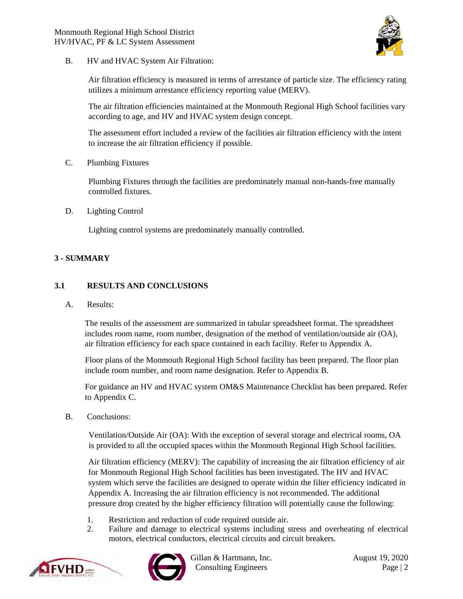

B. HV and HVAC System Air Filtration:

Air filtration efficiency is measured in terms of arrestance of particle size. The efficiency rating utilizes a minimum arrestance efficiency reporting value (MERV).

The air filtration efficiencies maintained at the Monmouth Regional High School facilities vary according to age, and HV and HVAC system design concept.

The assessment effort included a review of the facilities air filtration efficiency with the intent to increase the air filtration efficiency if possible.

C. Plumbing Fixtures

Plumbing Fixtures through the facilities are predominately manual non-hands-free manually controlled fixtures.

D. Lighting Control

Lighting control systems are predominately manually controlled.

### **3 - SUMMARY**

#### **3.1 RESULTS AND CONCLUSIONS**

A. Results:

The results of the assessment are summarized in tabular spreadsheet format. The spreadsheet includes room name, room number, designation of the method of ventilation/outside air (OA), air filtration efficiency for each space contained in each facility. Refer to Appendix A.

Floor plans of the Monmouth Regional High School facility has been prepared. The floor plan include room number, and room name designation. Refer to Appendix B.

For guidance an HV and HVAC system OM&S Maintenance Checklist has been prepared. Refer to Appendix C.

B. Conclusions:

Ventilation/Outside Air (OA): With the exception of several storage and electrical rooms, OA is provided to all the occupied spaces within the Monmouth Regional High School facilities.

Air filtration efficiency (MERV): The capability of increasing the air filtration efficiency of air for Monmouth Regional High School facilities has been investigated. The HV and HVAC system which serve the facilities are designed to operate within the filter efficiency indicated in Appendix A. Increasing the air filtration efficiency is not recommended. The additional pressure drop created by the higher efficiency filtration will potentially cause the following:

- 1. Restriction and reduction of code required outside air.
- 2. Failure and damage to electrical systems including stress and overheating of electrical motors, electrical conductors, electrical circuits and circuit breakers.





Gillan & Hartmann, Inc. August 19, 2020 Consulting Engineers Page | 2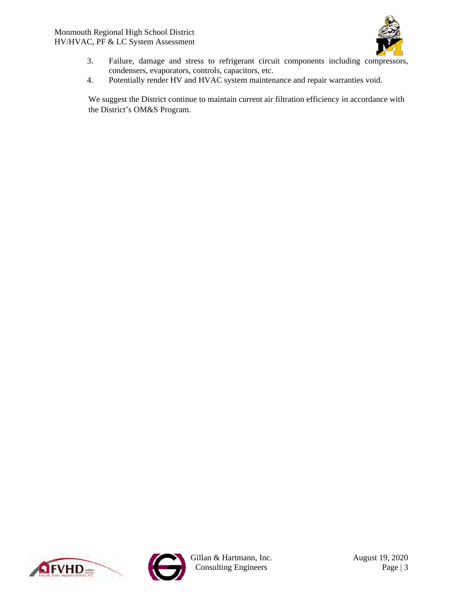

- 3. Failure, damage and stress to refrigerant circuit components including compressors, condensers, evaporators, controls, capacitors, etc.
- 4. Potentially render HV and HVAC system maintenance and repair warranties void.

We suggest the District continue to maintain current air filtration efficiency in accordance with the District's OM&S Program.





Gillan & Hartmann, Inc. August 19, 2020 Consulting Engineers Page | 3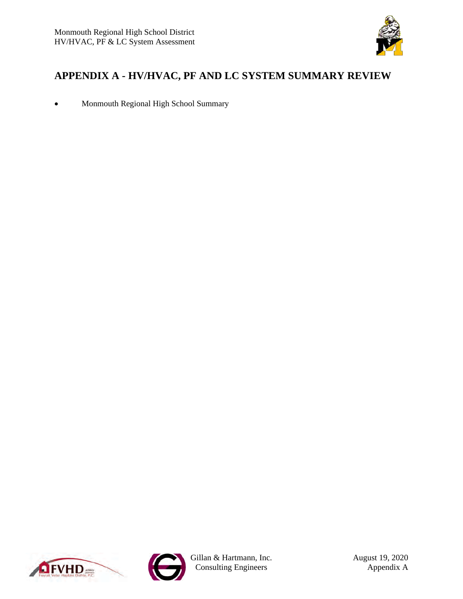

# <span id="page-5-0"></span>**APPENDIX A - HV/HVAC, PF AND LC SYSTEM SUMMARY REVIEW**

• Monmouth Regional High School Summary





Gillan & Hartmann, Inc. August 19, 2020 Consulting Engineers **Appendix A**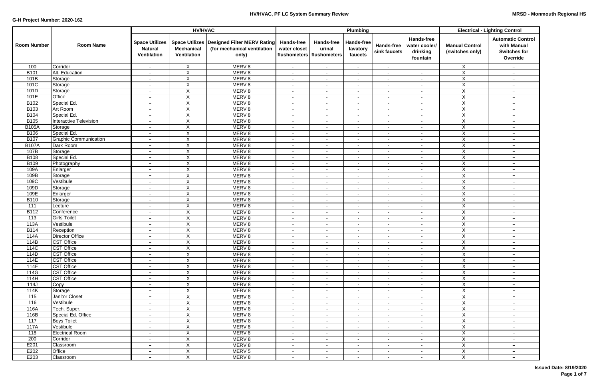|                    |                                        |                                                        | <b>HV/HVAC</b>                          |                                                                                      |                                                                  |                                    | Plumbing                                 |                            | <b>Electrical - Lighting Control</b>                       |                                          |                                                                            |
|--------------------|----------------------------------------|--------------------------------------------------------|-----------------------------------------|--------------------------------------------------------------------------------------|------------------------------------------------------------------|------------------------------------|------------------------------------------|----------------------------|------------------------------------------------------------|------------------------------------------|----------------------------------------------------------------------------|
| <b>Room Number</b> | <b>Room Name</b>                       | <b>Space Utilizes</b><br><b>Natural</b><br>Ventilation | <b>Mechanical</b><br><b>Ventilation</b> | Space Utilizes   Designed Filter MERV Rating<br>(for mechanical ventilation<br>only) | <b>Hands-free</b><br>water closet<br>flushometers   flushometers | <b>Hands-free</b><br>urinal        | <b>Hands-free</b><br>lavatory<br>faucets | Hands-free<br>sink faucets | <b>Hands-free</b><br>water cooler/<br>drinking<br>fountain | <b>Manual Control</b><br>(switches only) | <b>Automatic Control</b><br>with Manual<br><b>Switches for</b><br>Override |
| 100                | Corridor                               | $-$                                                    | X                                       | MERV <sub>8</sub>                                                                    | $\sim$                                                           | $\blacksquare$                     | $\sim$                                   | $\sim$                     | $\overline{\phantom{a}}$                                   | X                                        | $\overline{\phantom{a}}$                                                   |
| <b>B101</b>        | Alt. Education                         | $\overline{\phantom{a}}$                               | $\overline{X}$                          | MERV <sub>8</sub>                                                                    | $\sim$                                                           | $\sim$                             | $\blacksquare$                           | $\sim$                     | $\sim$                                                     | $\overline{X}$                           | $\overline{\phantom{a}}$                                                   |
| 101B               | Storage                                | $\overline{\phantom{0}}$                               | X                                       | MERV <sub>8</sub>                                                                    | $\overline{\phantom{a}}$                                         | $\overline{\phantom{a}}$           | $\blacksquare$                           | $\blacksquare$             | $\sim$                                                     | X                                        | $\overline{\phantom{a}}$                                                   |
| 101C               | Storage                                | $\overline{\phantom{a}}$                               | X                                       | MERV <sub>8</sub>                                                                    | $\sim$                                                           | $\overline{\phantom{a}}$           | $\blacksquare$                           | $\overline{\phantom{a}}$   | $\overline{\phantom{a}}$                                   | X                                        | $\qquad \qquad -$                                                          |
| 101D               | Storage                                | $\overline{\phantom{a}}$                               | $\times$                                | MERV <sub>8</sub>                                                                    | $\overline{\phantom{a}}$                                         | $\sim$                             | $\blacksquare$                           | $\overline{\phantom{a}}$   | $\sim$                                                     | X                                        | $\qquad \qquad -$                                                          |
| 101E               | Office                                 | $\overline{\phantom{a}}$                               | X                                       | MERV <sub>8</sub>                                                                    | $\overline{\phantom{a}}$                                         | $\sim$                             | $\sim$                                   | $\sim$                     | $\sim$                                                     | $\overline{X}$                           | $\overline{\phantom{a}}$                                                   |
| B102               | Special Ed.                            | $\overline{\phantom{m}}$                               | $\boldsymbol{\mathsf{X}}$               | MERV 8                                                                               | $\overline{\phantom{a}}$                                         | $\overline{\phantom{a}}$           | $\blacksquare$                           | $\sim$                     | $\sim$                                                     | $\mathsf{X}$                             | $\overline{\phantom{0}}$                                                   |
| B <sub>103</sub>   | Art Room                               | $\overline{\phantom{m}}$                               | $\boldsymbol{\mathsf{X}}$               | MERV <sub>8</sub>                                                                    | $\overline{\phantom{a}}$                                         | $\sim$                             | $\sim$                                   | $\sim$                     | $\sim$                                                     | $\overline{X}$                           | $\overline{\phantom{a}}$                                                   |
| <b>B104</b>        | Special Ed.                            | $\overline{\phantom{m}}$                               | X                                       | MERV <sub>8</sub>                                                                    | $\sim$                                                           | $\sim$                             | $\blacksquare$                           | $\sim$                     | $\sim$                                                     | $\mathsf{X}$                             | $-$                                                                        |
| B105               | <b>Interactive Television</b>          | $\overline{\phantom{m}}$                               | X                                       | MERV <sub>8</sub>                                                                    | $\sim$                                                           | $\overline{\phantom{a}}$           | $\blacksquare$                           | $\blacksquare$             | $\sim$                                                     | X                                        | $\overline{\phantom{m}}$                                                   |
| <b>B105A</b>       | Storage                                | $\overline{\phantom{a}}$                               | X                                       | MERV <sub>8</sub>                                                                    | $\overline{\phantom{a}}$                                         | $\overline{\phantom{a}}$           | $\blacksquare$                           | $\blacksquare$             | $\sim$                                                     | X                                        | $\qquad \qquad -$                                                          |
| B106               | Special Ed.                            | $\overline{\phantom{a}}$                               | $\boldsymbol{\mathsf{X}}$               | MERV <sub>8</sub>                                                                    | $\overline{\phantom{a}}$                                         | $\overline{\phantom{a}}$           | $\overline{\phantom{a}}$                 | $\overline{\phantom{a}}$   | $\sim$                                                     | X                                        | $\overline{\phantom{a}}$                                                   |
| <b>B107</b>        | <b>Graphic Communication</b>           | $\overline{\phantom{a}}$                               | X                                       | MERV 8                                                                               | $\overline{\phantom{a}}$                                         | $\overline{\phantom{a}}$           |                                          | $\overline{\phantom{a}}$   | $\blacksquare$                                             | $\overline{X}$                           | $\overline{\phantom{a}}$                                                   |
| <b>B107A</b>       | Dark Room                              | $\overline{\phantom{a}}$                               | X                                       | MERV 8                                                                               | $\blacksquare$                                                   | $\sim$                             | $\sim$                                   | $\sim$                     | $\sim$                                                     | $\overline{X}$                           | $\overline{\phantom{m}}$                                                   |
| 107B               | Storage                                | $\overline{\phantom{a}}$                               | X                                       | MERV 8                                                                               | $\overline{\phantom{a}}$                                         | $\sim$                             | $\sim$                                   | $\sim$                     |                                                            | $\pmb{\times}$                           | $\overline{\phantom{m}}$                                                   |
| B108               | Special Ed.                            | $\overline{\phantom{0}}$                               | $\boldsymbol{\mathsf{X}}$               | MERV <sub>8</sub>                                                                    | $\sim$                                                           | $\overline{\phantom{a}}$           | $\sim$                                   | $\sim$                     | $\sim$                                                     | $\overline{X}$                           | $\overline{\phantom{m}}$                                                   |
| B109               | Photography                            | $\overline{\phantom{0}}$                               | $\overline{\mathsf{x}}$                 | MERV <sub>8</sub>                                                                    | $\overline{\phantom{a}}$                                         | $\sim$                             | $\blacksquare$                           | $\blacksquare$             | $\blacksquare$                                             | $\overline{X}$                           | $\overline{\phantom{a}}$                                                   |
| 109A               | Enlarger                               | $\overline{\phantom{0}}$                               | $\mathsf X$                             | MERV <sub>8</sub>                                                                    | $\overline{\phantom{a}}$                                         | $\overline{\phantom{a}}$           | $\overline{\phantom{a}}$                 | $\blacksquare$             | $\overline{\phantom{a}}$                                   | $\overline{X}$                           | $\qquad \qquad -$                                                          |
| 109B               | Storage                                | $\overline{\phantom{0}}$                               | $\mathsf X$                             | MERV <sub>8</sub>                                                                    | $\overline{\phantom{a}}$                                         | $\blacksquare$                     | $\blacksquare$                           | $\sim$                     | $\overline{\phantom{a}}$                                   | $\overline{X}$                           | $\overline{\phantom{a}}$                                                   |
| 109C               | Vestibule                              | $\overline{\phantom{a}}$                               | $\boldsymbol{\mathsf{X}}$               | MERV <sub>8</sub>                                                                    | $\overline{\phantom{a}}$                                         | $\blacksquare$                     | $\blacksquare$                           | $\overline{\phantom{a}}$   | $\sim$                                                     | X                                        | $\overline{\phantom{a}}$                                                   |
| 109D               | Storage                                | $\overline{\phantom{a}}$                               | $\boldsymbol{\mathsf{X}}$               | MERV <sub>8</sub>                                                                    | $\blacksquare$                                                   | $\overline{\phantom{a}}$           | $\blacksquare$                           | $\overline{\phantom{a}}$   | $\overline{\phantom{a}}$                                   | X                                        | $\qquad \qquad -$                                                          |
| 109E               | Enlarger                               | $\overline{\phantom{a}}$                               | X                                       | MERV <sub>8</sub>                                                                    | $\overline{\phantom{a}}$                                         | $\sim$                             | $\blacksquare$                           | $\sim$                     | ۰                                                          | $\overline{X}$                           | $\overline{\phantom{m}}$                                                   |
| <b>B110</b>        | Storage                                | $\overline{\phantom{a}}$                               | X                                       | MERV <sub>8</sub>                                                                    | $\overline{\phantom{a}}$                                         | $\sim$                             | $\sim$                                   | $\sim$                     | $\sim$                                                     | X.                                       | $-$                                                                        |
| 111                | Lecture                                | $\qquad \qquad -$                                      | $\boldsymbol{\mathsf{X}}$               | MERV <sub>8</sub>                                                                    | $\sim$                                                           | $\overline{\phantom{a}}$           | $\overline{\phantom{a}}$                 | $\sim$                     |                                                            | X                                        | $\qquad \qquad -$                                                          |
| <b>B112</b>        | Conference                             | $\overline{\phantom{a}}$                               | $\boldsymbol{\mathsf{X}}$               | MERV <sub>8</sub>                                                                    | $\sim$                                                           | $\sim$                             | $\blacksquare$                           | $\sim$                     | $\sim$                                                     | $\overline{X}$                           | $-$                                                                        |
| 113                | <b>Girls Toilet</b>                    | $\overline{\phantom{a}}$                               | X                                       | MERV <sub>8</sub>                                                                    | $\overline{\phantom{a}}$                                         | $\sim$                             | $\sim$                                   | $\sim$                     | $\overline{\phantom{a}}$                                   | X                                        | $\overline{\phantom{m}}$                                                   |
| 113A               | Vestibule                              | $\overline{\phantom{a}}$                               | X                                       | MERV <sub>8</sub>                                                                    | $\sim$                                                           | $\overline{\phantom{a}}$           | $\blacksquare$                           | $\sim$                     | $\sim$                                                     | X                                        | $\qquad \qquad -$                                                          |
| <b>B114</b>        | Reception<br><b>Director Office</b>    | $\overline{\phantom{m}}$                               | X                                       | MERV <sub>8</sub>                                                                    | $\overline{\phantom{a}}$                                         | $\overline{\phantom{a}}$           | $\overline{\phantom{a}}$                 | $\overline{\phantom{a}}$   | $\overline{\phantom{a}}$                                   | X                                        | $\overline{\phantom{0}}$                                                   |
| 114A               |                                        | $\overline{\phantom{0}}$                               | X                                       | MERV <sub>8</sub>                                                                    | $\overline{\phantom{a}}$                                         | $\overline{\phantom{a}}$           | $\blacksquare$                           | $\sim$                     | $\sim$                                                     | X                                        | $\overline{\phantom{a}}$                                                   |
| 114B<br>114C       | <b>CST Office</b>                      | $\overline{\phantom{0}}$                               | X                                       | MERV 8                                                                               | $\blacksquare$                                                   | $\sim$                             | $\blacksquare$                           | $\sim$                     | $\blacksquare$                                             | X                                        | $\overline{\phantom{a}}$                                                   |
| 114D               | <b>CST Office</b><br><b>CST Office</b> | $\overline{\phantom{a}}$<br>$\sim$                     | X<br>$\overline{X}$                     | MERV 8<br>MERV 8                                                                     | $\sim$<br>$\blacksquare$                                         | $\overline{\phantom{a}}$<br>$\sim$ |                                          | $\sim$<br>$\sim$           | $\blacksquare$                                             | X<br>$\overline{X}$                      | $\sim$                                                                     |
| 114E               | <b>CST Office</b>                      | $\overline{\phantom{a}}$                               | $\mathsf X$                             | MERV 8                                                                               | $\blacksquare$                                                   | $\sim$                             | $\sim$<br>$\sim$                         |                            | $\sim$<br>$\sim$                                           | $\mathsf X$                              |                                                                            |
| 114F               | <b>CST Office</b>                      | $\overline{\phantom{0}}$                               | $\mathsf X$                             | MERV 8                                                                               | $\overline{\phantom{a}}$                                         | $\sim$                             | $\blacksquare$                           | $\sim$<br>$\sim$           | $\sim$                                                     | $\mathsf X$                              | $\sim$<br>$\overline{\phantom{0}}$                                         |
| 114G               | <b>CST Office</b>                      | $\overline{\phantom{a}}$                               | $\mathsf{X}$                            | MERV 8                                                                               | $\blacksquare$                                                   | $\blacksquare$                     | $\overline{\phantom{a}}$                 | $\sim$                     | $\sim$                                                     | X                                        | $\sim$                                                                     |
| 114H               | <b>CST Office</b>                      | $\overline{\phantom{a}}$                               | $\overline{X}$                          | MERV 8                                                                               | $\overline{\phantom{a}}$                                         | $\blacksquare$                     | $\sim$                                   | $\sim$                     | $\sim$                                                     | $\overline{X}$                           | $\sim$                                                                     |
| 114J               | $\overline{C}$ opy                     | $\overline{\phantom{a}}$                               | $\mathsf X$                             | MERV 8                                                                               | $\overline{\phantom{a}}$                                         | $\blacksquare$                     | $\sim$                                   | $\sim$                     | $\sim$                                                     | $\mathsf X$                              | $\overline{\phantom{0}}$                                                   |
| 114K               | Storage                                | $\overline{\phantom{a}}$                               | $\boldsymbol{\mathsf{X}}$               | MERV 8                                                                               | $\blacksquare$                                                   | $\sim$                             | $\blacksquare$                           | $\sim$                     | $\blacksquare$                                             | $\mathsf X$                              | $\sim$                                                                     |
| 115                | Janitor Closet                         | $\overline{\phantom{a}}$                               | $\boldsymbol{\mathsf{X}}$               | MERV 8                                                                               | $\blacksquare$                                                   | $\blacksquare$                     | $\blacksquare$                           | $\sim$                     | ۰.                                                         | $\mathsf X$                              | $-$                                                                        |
| 116                | Vestibule                              | $\qquad \qquad -$                                      | $\boldsymbol{\mathsf{X}}$               | MERV 8                                                                               | $\blacksquare$                                                   | $\blacksquare$                     | $\sim$                                   | $\sim$                     | $\sim$                                                     | $\overline{X}$                           | $ \,$                                                                      |
| 116A               | Tech. Super.                           | $\overline{\phantom{a}}$                               | $\boldsymbol{X}$                        | MERV 8                                                                               | $\blacksquare$                                                   | $\sim$                             | $\sim$                                   | $\sim$                     | $\sim$                                                     | $\overline{X}$                           | $\overline{\phantom{0}}$                                                   |
| 116B               | Special Ed. Office                     | $\overline{\phantom{a}}$                               | X                                       | MERV 8                                                                               | $\overline{\phantom{a}}$                                         | $\sim$                             | $\sim$                                   | $\sim$                     | $\sim$                                                     | $\mathsf X$                              | $-$                                                                        |
| 117                | <b>Boys Toilet</b>                     | $\overline{\phantom{a}}$                               | X                                       | MERV 8                                                                               | $\overline{\phantom{a}}$                                         | $\sim$                             | $\sim$                                   | $\sim$                     | $\sim$                                                     | X                                        | $ \,$                                                                      |
| 117A               | Vestibule                              | $\overline{\phantom{a}}$                               | X                                       | MERV <sub>8</sub>                                                                    | $\overline{\phantom{a}}$                                         | $\sim$                             | $\sim$                                   | $\sim$                     | $\sim$                                                     | $\overline{X}$                           | $\overline{\phantom{0}}$                                                   |
| 118                | <b>Electrical Room</b>                 | $\overline{\phantom{a}}$                               | X                                       | MERV <sub>8</sub>                                                                    | $\sim$                                                           | $\sim$                             | $\sim$                                   | $\sim$                     | $\sim$                                                     | X                                        | $\overline{\phantom{0}}$                                                   |
| 200                | Corridor                               | $\overline{\phantom{a}}$                               | X                                       | MERV <sub>8</sub>                                                                    | $\overline{\phantom{a}}$                                         | $\sim$                             | $\blacksquare$                           | $\sim$                     | $\sim$                                                     | X                                        | $\overline{\phantom{0}}$                                                   |
| E201               | Classroom                              | $\overline{\phantom{a}}$                               | $\boldsymbol{\mathsf{X}}$               | MERV 8                                                                               | $\overline{\phantom{a}}$                                         | $\sim$                             | $\sim$                                   | $\sim$                     | $\sim$                                                     | $\overline{X}$                           | $-$                                                                        |
| E202               | Office                                 | $\overline{\phantom{m}}$                               | $\overline{\mathsf{x}}$                 | MERV <sub>5</sub>                                                                    | $\overline{\phantom{a}}$                                         | $\sim$                             | $\sim$                                   | $\sim$                     | н.                                                         | $\overline{X}$                           | $\overline{\phantom{0}}$                                                   |
| E203               | Classroom                              | $\overline{\phantom{m}}$                               | X                                       | MERV 8                                                                               | $\overline{\phantom{a}}$                                         | $\overline{\phantom{a}}$           | $\blacksquare$                           | $\sim$                     | $\blacksquare$                                             | X                                        | $\overline{\phantom{m}}$                                                   |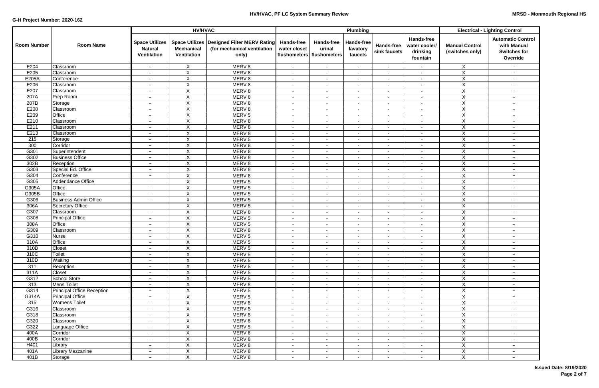|                    |                                   |                                                        | <b>HV/HVAC</b>                   |                                                                                      | Plumbing                                                         |                                    |                                   |                                   |                                                            | <b>Electrical - Lighting Control</b>     |                                                                            |  |
|--------------------|-----------------------------------|--------------------------------------------------------|----------------------------------|--------------------------------------------------------------------------------------|------------------------------------------------------------------|------------------------------------|-----------------------------------|-----------------------------------|------------------------------------------------------------|------------------------------------------|----------------------------------------------------------------------------|--|
| <b>Room Number</b> | <b>Room Name</b>                  | <b>Space Utilizes</b><br><b>Natural</b><br>Ventilation | <b>Mechanical</b><br>Ventilation | Space Utilizes   Designed Filter MERV Rating<br>(for mechanical ventilation<br>only) | <b>Hands-free</b><br>water closet<br>flushometers   flushometers | <b>Hands-free</b><br>urinal        | Hands-free<br>lavatory<br>faucets | <b>Hands-free</b><br>sink faucets | <b>Hands-free</b><br>water cooler/<br>drinking<br>fountain | <b>Manual Control</b><br>(switches only) | <b>Automatic Control</b><br>with Manual<br><b>Switches for</b><br>Override |  |
| E204               | Classroom                         | $\overline{\phantom{m}}$                               | X                                | MERV <sub>8</sub>                                                                    | $\sim$                                                           | $\sim$                             | $\blacksquare$                    | $\sim$                            | $\sim$                                                     | X                                        | $-$                                                                        |  |
| E205               | Classroom                         | $\overline{\phantom{a}}$                               | X                                | MERV <sub>8</sub>                                                                    | $\blacksquare$                                                   | $\sim$                             | $\blacksquare$                    | $\sim$                            | $\sim$                                                     | $\overline{X}$                           | $-$                                                                        |  |
| E205A              | Conference                        | $\overline{\phantom{0}}$                               | X                                | MERV <sub>8</sub>                                                                    | $\overline{\phantom{a}}$                                         | $\overline{\phantom{a}}$           | $\sim$                            | $\sim$                            | $\sim$                                                     | $\overline{X}$                           | $-$                                                                        |  |
| E206               | Classroom                         | $\overline{\phantom{0}}$                               | $\mathsf X$                      | MERV <sub>8</sub>                                                                    | $\overline{\phantom{a}}$                                         | $\overline{\phantom{a}}$           | $\blacksquare$                    | $\overline{\phantom{a}}$          | $\sim$                                                     | X                                        | $\overline{\phantom{a}}$                                                   |  |
| E207               | Classroom                         | $\overline{\phantom{a}}$                               | $\mathsf X$                      | MERV <sub>8</sub>                                                                    | $\blacksquare$                                                   | $\sim$                             | $\blacksquare$                    | $\blacksquare$                    | $\overline{\phantom{a}}$                                   | Χ                                        | $-$                                                                        |  |
| 207A               | Prep Room                         | $\overline{\phantom{a}}$                               | X                                | MERV <sub>8</sub>                                                                    | $\overline{\phantom{a}}$                                         | $\sim$                             | $\blacksquare$                    | $\sim$                            | $\sim$                                                     | $\overline{X}$                           | $-$                                                                        |  |
| 207B               | Storage                           | -                                                      | X                                | MERV 8                                                                               | $\overline{\phantom{a}}$                                         |                                    | $\overline{\phantom{a}}$          | $\overline{\phantom{a}}$          |                                                            | $\mathsf{X}$                             | $-$                                                                        |  |
| E208               | Classroom                         | $\overline{\phantom{a}}$                               | $\times$                         | MERV <sub>8</sub>                                                                    | $\sim$                                                           | $\sim$                             | $\blacksquare$                    | $\sim$                            | $\sim$                                                     | $\pmb{\times}$                           | $-$                                                                        |  |
| E209               | Office                            | $\overline{\phantom{a}}$                               | $\pmb{\times}$                   | MERV <sub>5</sub>                                                                    | $\overline{\phantom{a}}$                                         | $\sim$                             | $\blacksquare$                    | $\sim$                            | $\sim$                                                     | $\mathsf{X}$                             | $-$                                                                        |  |
| E210               | Classroom                         | $\overline{\phantom{a}}$                               | $\mathsf X$                      | MERV <sub>8</sub>                                                                    | $\overline{\phantom{a}}$                                         | $\sim$                             | $\blacksquare$                    | $\sim$                            | $\sim$                                                     | $\pmb{\times}$                           | $ \,$                                                                      |  |
| E211               | Classroom                         | $\overline{\phantom{0}}$                               | X                                | MERV <sub>8</sub>                                                                    | $\blacksquare$                                                   | $\sim$                             | $\blacksquare$                    | $\blacksquare$                    | $\sim$                                                     | X                                        | $-$                                                                        |  |
| E213               | Classroom                         | $\overline{\phantom{a}}$                               | X                                | MERV <sub>8</sub>                                                                    | $\overline{\phantom{a}}$                                         | $\sim$                             | $\blacksquare$                    | $\blacksquare$                    | $\blacksquare$                                             | X                                        | $-$                                                                        |  |
| 215                | Storage                           | $\overline{\phantom{a}}$                               | $\mathsf X$                      | MERV <sub>5</sub>                                                                    | $\blacksquare$                                                   | $\overline{\phantom{a}}$           | $\blacksquare$                    | $\blacksquare$                    | $\overline{\phantom{a}}$                                   | X                                        | $-$                                                                        |  |
| 300                | Corridor                          | $\overline{\phantom{0}}$                               | X                                | MERV <sub>8</sub>                                                                    | $\blacksquare$                                                   | $\sim$                             | $\blacksquare$                    | $\blacksquare$                    | $\sim$                                                     | $\overline{X}$                           | $-$                                                                        |  |
| G301               | Superintendent                    | $\overline{\phantom{a}}$                               | $\mathsf X$                      | MERV 8                                                                               | $\blacksquare$                                                   | $\sim$                             | $\sim$                            | $\sim$                            | $\sim$                                                     | $\mathsf{X}$                             | $\qquad \qquad -$                                                          |  |
| G302               | <b>Business Office</b>            | $\overline{\phantom{a}}$                               | $\mathsf X$                      | MERV 8                                                                               | $\overline{\phantom{a}}$                                         | $\sim$                             | $\blacksquare$                    | $\sim$                            | $\sim$                                                     | X                                        | $\qquad \qquad -$                                                          |  |
| 302B               | Reception                         | $\overline{\phantom{m}}$                               | $\mathsf X$                      | MERV <sub>8</sub>                                                                    | $\overline{\phantom{a}}$                                         | $\overline{\phantom{a}}$           |                                   | $\sim$                            | $\sim$                                                     | X                                        | $\qquad \qquad -$                                                          |  |
| G303               | Special Ed. Office                | $\overline{\phantom{a}}$                               | $\overline{X}$                   | MERV <sub>8</sub>                                                                    | $\overline{\phantom{a}}$                                         | $\sim$                             | $\blacksquare$                    | $\sim$                            | $\sim$                                                     | $\overline{X}$                           | $-$                                                                        |  |
| G304               | Conference                        | $\overline{\phantom{m}}$                               | $\mathsf X$                      | MERV <sub>8</sub>                                                                    | $\overline{\phantom{a}}$                                         | $\overline{\phantom{a}}$           | $\overline{\phantom{a}}$          | $\blacksquare$                    | $\overline{\phantom{a}}$                                   | $\overline{X}$                           | $-$                                                                        |  |
| G305               | Addendance Office                 | $\overline{\phantom{0}}$                               | X                                | MERV <sub>5</sub>                                                                    | $\blacksquare$                                                   | $\overline{\phantom{a}}$           | $\blacksquare$                    | $\overline{\phantom{a}}$          | $\overline{\phantom{a}}$                                   | $\overline{X}$                           | $-$                                                                        |  |
| G305A              | Office                            | $\overline{\phantom{a}}$                               | $\mathsf X$                      | MERV <sub>5</sub>                                                                    | $\overline{\phantom{a}}$                                         | $\overline{\phantom{a}}$           | $\blacksquare$                    | $\overline{\phantom{a}}$          | $\sim$                                                     | X                                        | $-$                                                                        |  |
| G305B              | <b>Office</b>                     | $\overline{\phantom{a}}$                               | $\mathsf X$                      | MERV <sub>5</sub>                                                                    | $\blacksquare$                                                   | $\overline{\phantom{a}}$           | $\blacksquare$                    | $\overline{\phantom{a}}$          | $\overline{\phantom{a}}$                                   | X                                        | $\qquad \qquad -$                                                          |  |
| G306               | <b>Business Admin Office</b>      | $\qquad \qquad -$                                      | $\pmb{\times}$                   | MERV <sub>5</sub>                                                                    | $\blacksquare$                                                   | $\sim$                             | $\blacksquare$                    | $\sim$                            | $\sim$                                                     | X                                        | $-$                                                                        |  |
| 306A               | <b>Secretary Office</b>           |                                                        | X                                | MERV <sub>5</sub>                                                                    | $\blacksquare$                                                   | $\sim$                             | $\overline{\phantom{a}}$          | $\sim$                            | $\sim$                                                     | X                                        | $-$                                                                        |  |
| G307               | Classroom                         | $\overline{\phantom{m}}$                               | $\mathsf X$                      | MERV <sub>8</sub>                                                                    | $\overline{\phantom{a}}$                                         | $\sim$                             |                                   | $\sim$                            |                                                            | X                                        | $-$                                                                        |  |
| G308               | <b>Principal Office</b>           | $\overline{\phantom{a}}$                               | $\mathsf X$                      | MERV <sub>5</sub>                                                                    | $\overline{\phantom{a}}$                                         | $\sim$                             | $\blacksquare$                    | $\sim$                            | $\sim$                                                     | X                                        | $\qquad \qquad -$                                                          |  |
| 308A<br>G309       | Office<br>Classroom               | $\overline{\phantom{a}}$                               | X                                | MERV <sub>5</sub>                                                                    | $\sim$                                                           | $\sim$                             | $\blacksquare$                    | $\sim$                            | $\sim$                                                     | X                                        | $-$                                                                        |  |
| G310               | <b>Nurse</b>                      | $\overline{\phantom{a}}$                               | X                                | MERV <sub>8</sub><br>MERV <sub>5</sub>                                               | $\overline{\phantom{a}}$                                         | $\sim$                             | $\sim$                            | $\sim$                            | $\sim$                                                     | X<br>X                                   | $-$                                                                        |  |
| 310A               | Office                            | $\overline{\phantom{0}}$<br>$\overline{\phantom{0}}$   | X<br>X                           | MERV <sub>5</sub>                                                                    | $\overline{\phantom{a}}$                                         | $\sim$<br>$\overline{\phantom{a}}$ | $\blacksquare$                    | $\overline{\phantom{a}}$          | $\sim$                                                     | X                                        | $-$<br>$-$                                                                 |  |
| 310B               | <b>Closet</b>                     | $\qquad \qquad -$                                      | X                                | MERV <sub>5</sub>                                                                    | $\blacksquare$                                                   | $\sim$                             | $\blacksquare$                    | $\sim$                            | $\sim$                                                     | X                                        |                                                                            |  |
| 310C               | Toilet                            | $\qquad \qquad -$                                      | $\boldsymbol{\mathsf{X}}$        | MERV <sub>5</sub>                                                                    | ٠                                                                | $\sim$                             |                                   | $\sim$                            |                                                            | $\mathsf X$                              | $\qquad \qquad -$<br>$\qquad \qquad -$                                     |  |
| 310D               | Waiting                           | $\overline{\phantom{a}}$                               | $\overline{X}$                   | MERV <sub>5</sub>                                                                    | $\sim$                                                           | $\sim$                             | $\sim$                            | $\sim$                            | $\sim$                                                     | $\overline{X}$                           | $ \,$                                                                      |  |
| 311                | Reception                         | $\overline{\phantom{m}}$                               | $\overline{X}$                   | MERV 5                                                                               | $\sim$                                                           | $\sim$                             | $\sim$                            | $\sim$                            | $\sim$                                                     | $\mathsf{X}$                             | $ \,$                                                                      |  |
| 311A               | Closet                            | $\overline{\phantom{a}}$                               | $\pmb{\times}$                   | MERV <sub>5</sub>                                                                    | $\overline{\phantom{a}}$                                         | $\sim$                             | $\sim$                            | $\sim$                            | $\sim$                                                     | $\mathsf X$                              | $ \,$                                                                      |  |
| G312               | <b>School Store</b>               | $\overline{\phantom{0}}$                               | X                                | MERV 5                                                                               | ٠                                                                | $\sim$                             | $\sim$                            | $\sim$                            | $\sim$                                                     | $\mathsf X$                              | $-$                                                                        |  |
| 313                | <b>Mens Toilet</b>                | $\qquad \qquad -$                                      | $\mathsf X$                      | MERV 8                                                                               | $\overline{\phantom{a}}$                                         | $\sim$                             | $\sim$                            | $\sim$                            | $\sim$                                                     | $\mathsf X$                              | $-$                                                                        |  |
| G314               | <b>Principal Office Reception</b> | $\qquad \qquad -$                                      | $\boldsymbol{X}$                 | MERV 5                                                                               | $\blacksquare$                                                   | $\sim$                             | $\blacksquare$                    | $\sim$                            | $\sim$                                                     | $\mathsf X$                              | $-$                                                                        |  |
| G314A              | <b>Principal Office</b>           | $\qquad \qquad -$                                      | $\boldsymbol{\mathsf{X}}$        | MERV 5                                                                               | $\blacksquare$                                                   | $\sim$                             | $\blacksquare$                    | $\sim$                            | $\sim$                                                     | $\overline{X}$                           | $ \,$                                                                      |  |
| 315                | <b>Womens Toilet</b>              | $\overline{\phantom{m}}$                               | $\boldsymbol{\mathsf{X}}$        | MERV 8                                                                               | $\blacksquare$                                                   | $\sim$                             | $\sim$                            | $\sim$                            | $\sim$                                                     | $\mathsf X$                              | $-$                                                                        |  |
| G316               | Classroom                         | $\overline{\phantom{a}}$                               | $\boldsymbol{\mathsf{X}}$        | MERV 8                                                                               | $\sim$                                                           | $\sim$                             | ٠.                                | $\sim$                            | $\sim$                                                     | $\mathsf X$                              | $ \,$                                                                      |  |
| G318               | Classroom                         | $\overline{\phantom{a}}$                               | $\pmb{\times}$                   | MERV <sub>8</sub>                                                                    | $\overline{\phantom{a}}$                                         | $\sim$                             | $\sim$                            | $\sim$                            | $\sim$                                                     | X                                        | $ \,$                                                                      |  |
| G320               | Classroom                         | $\overline{\phantom{a}}$                               | X                                | MERV 8                                                                               | $\blacksquare$                                                   | $\sim$                             | $\sim$                            | $\sim$                            | $\sim$                                                     | $\overline{X}$                           | $ \,$                                                                      |  |
| G322               | Language Office                   | $\overline{\phantom{a}}$                               | X                                | MERV 5                                                                               | $\overline{\phantom{a}}$                                         | $\sim$                             | $\sim$                            | $\sim$                            | $\sim$                                                     | $\overline{X}$                           | $-$                                                                        |  |
| 400A               | Corridor                          | $\overline{\phantom{a}}$                               | X                                | MERV <sub>8</sub>                                                                    | $\overline{\phantom{a}}$                                         | $\overline{\phantom{a}}$           | $\sim$                            | $\blacksquare$                    | $\sim$                                                     | $\overline{X}$                           | $ \,$                                                                      |  |
| 400B               | Corridor                          | $\qquad \qquad -$                                      | X                                | MERV <sub>8</sub>                                                                    | $\overline{\phantom{a}}$                                         | $\blacksquare$                     | $\sim$                            | $\sim$                            | $\qquad \qquad -$                                          | X                                        | $-$                                                                        |  |
| H401               | Library                           | $\overline{\phantom{a}}$                               | X                                | MERV <sub>8</sub>                                                                    | $\overline{\phantom{a}}$                                         | $\blacksquare$                     | $\sim$                            | $\sim$                            | $\sim$                                                     | X                                        | $ \,$                                                                      |  |
| 401A               | <b>Library Mezzanine</b>          | $\overline{\phantom{m}}$                               | X                                | MERV 8                                                                               | $\overline{\phantom{a}}$                                         | $\sim$                             | $\sim$                            | $\sim$                            | $\sim$                                                     | X                                        | $-$                                                                        |  |
| 401B               | Storage                           | $\overline{\phantom{a}}$                               | $\overline{X}$                   | MERV 8                                                                               | $\overline{\phantom{a}}$                                         |                                    |                                   | $\sim$                            |                                                            | $\overline{X}$                           | $-$                                                                        |  |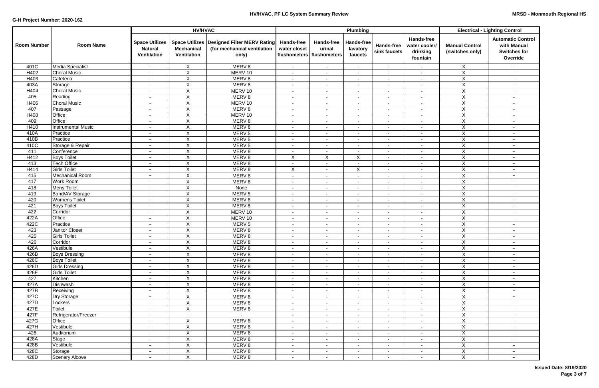|                    |                                           |                                                               | <b>HV/HVAC</b>                                            |                                                                     |                                                   |                                                    | Plumbing                                   |                            |                                                            | <b>Electrical - Lighting Control</b>     |                                                                            |  |
|--------------------|-------------------------------------------|---------------------------------------------------------------|-----------------------------------------------------------|---------------------------------------------------------------------|---------------------------------------------------|----------------------------------------------------|--------------------------------------------|----------------------------|------------------------------------------------------------|------------------------------------------|----------------------------------------------------------------------------|--|
| <b>Room Number</b> | <b>Room Name</b>                          | <b>Space Utilizes</b><br><b>Natural</b><br><b>Ventilation</b> | <b>Space Utilizes</b><br><b>Mechanical</b><br>Ventilation | Designed Filter MERV Rating<br>(for mechanical ventilation<br>only) | <b>Hands-free</b><br>water closet<br>flushometers | <b>Hands-free</b><br>urinal<br><b>flushometers</b> | Hands-free<br>lavatory<br>faucets          | Hands-free<br>sink faucets | <b>Hands-free</b><br>water cooler/<br>drinking<br>fountain | <b>Manual Control</b><br>(switches only) | <b>Automatic Control</b><br>with Manual<br><b>Switches for</b><br>Override |  |
| 401C               | <b>Media Specialist</b>                   | $-$                                                           | $\sf X$                                                   | MERV <sub>8</sub>                                                   | $\sim$                                            | $\sim$                                             | $\sim$                                     | $\sim$                     | $\sim$                                                     | X                                        | $-$                                                                        |  |
| H402               | <b>Choral Music</b>                       | $-$                                                           | $\boldsymbol{\mathsf{X}}$                                 | MERV 10                                                             | $\blacksquare$                                    | $\blacksquare$                                     | $\blacksquare$                             | $\sim$                     | $\blacksquare$                                             | Χ                                        | $\overline{\phantom{a}}$                                                   |  |
| H403               | Cafeteria                                 | $\overline{\phantom{a}}$                                      | $\overline{X}$                                            | MERV <sub>8</sub>                                                   | $\sim$                                            | $\sim$                                             | $\sim$                                     | $\sim$                     | $\sim$                                                     | $\overline{\mathsf{X}}$                  | $-$                                                                        |  |
| 403A               | Storage                                   | $\overline{\phantom{m}}$                                      | $\boldsymbol{\mathsf{X}}$                                 | MERV <sub>8</sub>                                                   | $\sim$                                            | $\sim$                                             | $\sim$                                     | $\sim$                     | $\sim$                                                     | X                                        | $\qquad \qquad -$                                                          |  |
| H404               | <b>Choral Music</b>                       | $-$                                                           | X                                                         | MERV 10                                                             | $\sim$                                            | $\overline{\phantom{a}}$                           | $\overline{\phantom{a}}$                   | $\sim$                     | $\sim$                                                     | X                                        | $\qquad \qquad -$                                                          |  |
| 405                | Reading                                   | $-$                                                           | $\boldsymbol{X}$                                          | MERV <sub>8</sub>                                                   | $\sim$                                            | $\overline{\phantom{a}}$                           | $\sim$                                     | $\sim$                     | $\sim$                                                     | $\boldsymbol{\mathsf{X}}$                | $-$                                                                        |  |
| H406               | <b>Choral Music</b>                       | $\overline{\phantom{a}}$                                      | $\boldsymbol{\mathsf{X}}$                                 | MERV 10                                                             | $\overline{\phantom{a}}$                          | $\blacksquare$                                     | $\blacksquare$                             | $\blacksquare$             | $\sim$                                                     | $\mathsf X$                              | $\overline{\phantom{a}}$                                                   |  |
| 407                | Passage                                   | $\overline{\phantom{a}}$                                      | $\boldsymbol{\mathsf{X}}$                                 | MERV <sub>8</sub>                                                   | $\blacksquare$                                    | $\overline{\phantom{a}}$                           | $\sim$                                     | $\blacksquare$             | $\blacksquare$                                             | X                                        | $\overline{\phantom{a}}$                                                   |  |
| H408               | Office                                    | $\overline{\phantom{a}}$                                      | $\boldsymbol{\mathsf{X}}$                                 | MERV 10                                                             | $\sim$                                            | $\overline{\phantom{a}}$                           | $\sim$                                     | $\blacksquare$             | ۰                                                          | $\sf X$                                  | $\overline{\phantom{a}}$                                                   |  |
| 409                | Office                                    | $\overline{\phantom{a}}$                                      | $\boldsymbol{\mathsf{X}}$                                 | MERV <sub>8</sub>                                                   | $\blacksquare$                                    | $\overline{\phantom{a}}$                           | $\sim$                                     | $\blacksquare$             | $\overline{\phantom{a}}$                                   | $\mathsf{X}$                             | $\overline{\phantom{a}}$                                                   |  |
| H410               | <b>Instrumental Music</b>                 | $\overline{\phantom{a}}$                                      | $\boldsymbol{\mathsf{X}}$                                 | MERV <sub>8</sub>                                                   | $\sim$                                            | $\overline{\phantom{a}}$                           | $\blacksquare$                             | $\sim$                     | $\sim$                                                     | $\pmb{\times}$                           | $\overline{\phantom{a}}$                                                   |  |
| 410A               | Practice                                  | $\overline{\phantom{m}}$                                      | $\boldsymbol{X}$                                          | MERV <sub>5</sub>                                                   | $\sim$                                            | $\blacksquare$                                     | $\overline{\phantom{a}}$                   | $\blacksquare$             | $\sim$                                                     | $\pmb{\times}$                           | $-$                                                                        |  |
| 410B               | Practice                                  | $\overline{\phantom{0}}$                                      | $\boldsymbol{X}$                                          | MERV <sub>5</sub>                                                   | $\sim$                                            | $\blacksquare$                                     | $\sim$                                     | $\sim$                     | $\sim$                                                     | $\pmb{\times}$                           | $\qquad \qquad -$                                                          |  |
| 410C               | Storage & Repair                          | $\qquad \qquad -$                                             | $\boldsymbol{X}$                                          | MERV <sub>5</sub>                                                   | $\sim$                                            | $\blacksquare$                                     | $\sim$                                     | $\sim$                     | $\sim$                                                     | $\pmb{\times}$                           | $-$                                                                        |  |
| 411                | Conference                                | $\overline{\phantom{a}}$                                      | $\boldsymbol{X}$                                          | MERV <sub>8</sub>                                                   | $\overline{\phantom{a}}$                          | $\overline{\phantom{a}}$                           | $\sim$                                     | $\sim$                     | $\sim$                                                     | $\mathsf X$                              | $-$                                                                        |  |
| H412               | <b>Boys Toilet</b>                        | $\overline{\phantom{a}}$                                      | $\boldsymbol{\mathsf{X}}$                                 | MERV <sub>8</sub>                                                   | X                                                 | X                                                  | X                                          | $\sim$                     | $\sim$                                                     | X                                        | $-$                                                                        |  |
| 413                | <b>Tech Office</b><br><b>Girls Toilet</b> | $-$                                                           | $\boldsymbol{\mathsf{X}}$                                 | MERV <sub>8</sub>                                                   | $\overline{\phantom{a}}$                          | $\overline{\phantom{a}}$                           | $\blacksquare$                             | $\blacksquare$             | $\sim$                                                     | $\mathsf X$<br>X                         | $\overline{\phantom{m}}$                                                   |  |
| H414               |                                           | $\overline{\phantom{a}}$                                      | X                                                         | MERV <sub>8</sub><br>MERV <sub>8</sub>                              | X                                                 | $\blacksquare$                                     | X                                          | $\blacksquare$             | $\blacksquare$                                             | X                                        | $\overline{\phantom{a}}$                                                   |  |
| 415<br>417         | Mechanical Room<br><b>Work Room</b>       | $\overline{\phantom{a}}$                                      | $\boldsymbol{\mathsf{X}}$<br>$\overline{\mathsf{x}}$      | MERV <sub>8</sub>                                                   | $\blacksquare$                                    | $\blacksquare$                                     | $\blacksquare$                             | $\blacksquare$             | $\sim$                                                     | $\overline{\mathsf{x}}$                  | $-$                                                                        |  |
| 418                | <b>Mens Toilet</b>                        | $\overline{\phantom{a}}$                                      | $\pmb{\times}$                                            | None                                                                | $\sim$                                            | $\overline{\phantom{a}}$                           | $\sim$                                     | $\sim$                     | $\blacksquare$                                             | X                                        | $-$                                                                        |  |
| 419                | <b>Band/AV Storage</b>                    | $\qquad \qquad -$<br>$\overline{\phantom{a}}$                 | $\boldsymbol{\mathsf{X}}$                                 | MERV <sub>5</sub>                                                   | $\sim$<br>$\sim$                                  | $\blacksquare$<br>$\overline{\phantom{a}}$         | $\overline{\phantom{a}}$<br>$\blacksquare$ | $\sim$<br>$\sim$           | $\sim$<br>$\blacksquare$                                   | X                                        | $\overline{\phantom{m}}$<br>$\overline{\phantom{a}}$                       |  |
| 420                | <b>Womens Toilet</b>                      | $\overline{\phantom{a}}$                                      | $\overline{X}$                                            | MERV <sub>8</sub>                                                   | $\blacksquare$                                    | $\blacksquare$                                     | $\blacksquare$                             | $\sim$                     | $\blacksquare$                                             | X                                        | $\overline{\phantom{a}}$                                                   |  |
| 421                | <b>Boys Toilet</b>                        | $\overline{\phantom{a}}$                                      | $\overline{X}$                                            | MERV <sub>8</sub>                                                   | $\blacksquare$                                    | $\overline{\phantom{a}}$                           | $\blacksquare$                             | $\sim$                     | $\sim$                                                     | $\overline{X}$                           | $\overline{\phantom{a}}$                                                   |  |
| 422                | Corridor                                  | $\overline{\phantom{a}}$                                      | $\boldsymbol{\mathsf{X}}$                                 | MERV 10                                                             | $\overline{\phantom{a}}$                          | $\blacksquare$                                     | $\blacksquare$                             | $\blacksquare$             |                                                            | X                                        | $\overline{\phantom{a}}$                                                   |  |
| 422A               | Office                                    | $\overline{\phantom{a}}$                                      | $\times$                                                  | MERV 10                                                             | $\sim$                                            | $\blacksquare$                                     | $\blacksquare$                             | $\blacksquare$             | $\blacksquare$                                             | X                                        | $\overline{\phantom{m}}$                                                   |  |
| 422C               | Practice                                  | $\overline{\phantom{a}}$                                      | $\boldsymbol{\mathsf{X}}$                                 | MERV <sub>5</sub>                                                   | $\blacksquare$                                    | $\blacksquare$                                     | $\overline{\phantom{a}}$                   | $\blacksquare$             | $\overline{\phantom{a}}$                                   | $\overline{X}$                           | $\overline{\phantom{m}}$                                                   |  |
| 423                | <b>Janitor Closet</b>                     | $\overline{\phantom{a}}$                                      | $\overline{X}$                                            | MERV <sub>8</sub>                                                   | $\sim$                                            | $\sim$                                             | $\sim$                                     | $\sim$                     | ۰                                                          | $\overline{X}$                           | $-$                                                                        |  |
| 425                | <b>Girls Toilet</b>                       | $\overline{\phantom{a}}$                                      | $\boldsymbol{\mathsf{X}}$                                 | MERV <sub>8</sub>                                                   | $\sim$                                            | $\sim$                                             | $\sim$                                     | $\sim$                     | $\sim$                                                     | $\overline{X}$                           | $\qquad \qquad -$                                                          |  |
| 426                | Corridor                                  | $\overline{\phantom{m}}$                                      | X                                                         | MERV <sub>8</sub>                                                   | $\sim$                                            | $\overline{\phantom{a}}$                           | $\sim$                                     | $\sim$                     | $\sim$                                                     | $\overline{X}$                           | $ \,$                                                                      |  |
| 426A               | Vestibule                                 | $ \,$                                                         | X                                                         | MERV <sub>8</sub>                                                   | $\sim$                                            | $\sim$                                             | $\sim$                                     | $\sim$                     | $\sim$                                                     | X                                        | $\qquad \qquad -$                                                          |  |
| 426B               | <b>Boys Dressing</b>                      | $\overline{\phantom{a}}$                                      | $\boldsymbol{X}$                                          | MERV <sub>8</sub>                                                   | $\sim$                                            | $\sim$                                             | $\sim$                                     | $\sim$                     | $\sim$                                                     | $\pmb{\times}$                           | $-$                                                                        |  |
| 426C               | <b>Boys Toilet</b>                        | $\overline{\phantom{a}}$                                      | $\sf X$                                                   | MERV 8                                                              | $\sim$                                            | $\sim$                                             | $\sim$                                     | $\sim$                     | $\sim$                                                     | $\pmb{\times}$                           | $-$                                                                        |  |
| 426D               | Girls Dressing                            | $-$                                                           | $\sf X$                                                   | MERV 8                                                              | $\sim$                                            | $\sim$                                             | $\sim$                                     | $\sim$                     | $\sim$                                                     | $\mathsf{X}$                             | $\qquad \qquad -$                                                          |  |
| 426E               | <b>Girls Toilet</b>                       | $-$                                                           | $\overline{X}$                                            | MERV 8                                                              | $\sim$                                            | $\blacksquare$                                     | ٠                                          | $\blacksquare$             | $\sim$                                                     | $\pmb{\times}$                           | $-$                                                                        |  |
| 427                | Kitchen                                   | $-$                                                           | $\boldsymbol{X}$                                          | MERV 8                                                              | $\blacksquare$                                    | $\sim$                                             | $\sim$                                     | $\sim$                     | $\sim$                                                     | $\overline{X}$                           | $-$                                                                        |  |
| 427A               | Dishwash                                  | $\overline{\phantom{m}}$                                      | $\boldsymbol{X}$                                          | MERV 8                                                              | $\sim$                                            | $\sim$                                             | $\sim$                                     | $\sim$                     | $\sim$                                                     | $\overline{X}$                           | $\qquad \qquad -$                                                          |  |
| 427B               | Receiving                                 | $\overline{\phantom{m}}$                                      | $\boldsymbol{X}$                                          | MERV 8                                                              | $\sim$                                            | $\sim$                                             | $\sim$                                     | $\sim$                     | $\sim$                                                     | $\overline{X}$                           | $\qquad \qquad -$                                                          |  |
| 427C               | <b>Dry Storage</b>                        | $\overline{\phantom{a}}$                                      | $\mathsf{X}$                                              | MERV 8                                                              | $\sim$                                            | $\sim$                                             | $\sim$                                     | $\sim$                     | $\sim$                                                     | $\pmb{\times}$                           | $-$                                                                        |  |
| 427D               | Lockers                                   | $\overline{\phantom{a}}$                                      | $\boldsymbol{X}$                                          | MERV 8                                                              | $\sim$                                            | $\blacksquare$                                     | $\sim$                                     | $\blacksquare$             | $\sim$                                                     | $\pmb{\times}$                           | $\qquad \qquad -$                                                          |  |
| 427E               | Toilet                                    | $\overline{\phantom{a}}$                                      | $\boldsymbol{X}$                                          | MERV <sub>8</sub>                                                   | $\sim$                                            | $\sim$                                             | $\sim$                                     | $\sim$                     | $\sim$                                                     | $\overline{X}$                           | $\qquad \qquad -$                                                          |  |
| 427F               | Refrigerator/Freezer                      | $\overline{\phantom{a}}$                                      | $\overline{\phantom{a}}$                                  | $\sim$                                                              | $\overline{\phantom{a}}$                          | $\blacksquare$                                     | $\sim$                                     | $\blacksquare$             | $\sim$                                                     | X                                        | $-$                                                                        |  |
| 427G               | Office                                    | $\overline{\phantom{a}}$                                      | X                                                         | MERV <sub>8</sub>                                                   | $\sim$                                            | $\sim$                                             | $\sim$                                     | $\blacksquare$             | $\sim$                                                     | X                                        | $\qquad \qquad -$                                                          |  |
| 427H               | Vestibule                                 | $\overline{\phantom{a}}$                                      | $\boldsymbol{X}$                                          | MERV 8                                                              | $\blacksquare$                                    | $\blacksquare$                                     | $\overline{\phantom{a}}$                   | $\sim$                     | $\sim$                                                     | $\overline{X}$                           | $-$                                                                        |  |
| 428                | Auditorium                                | $-$                                                           | $\overline{X}$                                            | MERV <sub>8</sub>                                                   | $\sim$                                            | $\sim$                                             | $\sim$                                     | $\sim$                     | $\sim$                                                     | $\overline{X}$                           | $-$                                                                        |  |
| 428A               | Stage                                     | $\qquad \qquad -$                                             | $\boldsymbol{X}$                                          | MERV <sub>8</sub>                                                   | $\sim$                                            | $\sim$                                             | $\sim$                                     | $\sim$                     | $\sim$                                                     | $\overline{X}$                           | $-$                                                                        |  |
| 428B               | Vestibule                                 | $\qquad \qquad -$                                             | $\boldsymbol{X}$                                          | MERV <sub>8</sub>                                                   | $\sim$                                            | $\blacksquare$                                     | $\sim$                                     | $\sim$                     | $\sim$                                                     | X                                        | $-$                                                                        |  |
| 428C               | Storage                                   | $\qquad \qquad -$                                             | $\boldsymbol{X}$                                          | MERV <sub>8</sub>                                                   | $\sim$                                            | $\blacksquare$                                     | $\sim$                                     | $\sim$                     | $\sim$                                                     | X                                        | $-$                                                                        |  |
| 428D               | <b>Scenery Alcove</b>                     | $\overline{\phantom{a}}$                                      | $\overline{X}$                                            | MERV <sub>8</sub>                                                   | $\sim$                                            | $\overline{\phantom{a}}$                           | $\overline{\phantom{a}}$                   | $\sim$                     | $\blacksquare$                                             | $\overline{X}$                           | $-$                                                                        |  |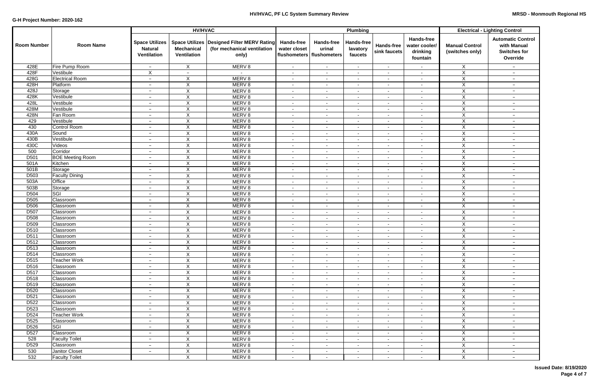|                    |                         |                                                               | <b>HV/HVAC</b>                                            |                                                                            |                                                   |                                                    | Plumbing                          |                                   |                                                            | <b>Electrical - Lighting Control</b>     |                                                                            |  |
|--------------------|-------------------------|---------------------------------------------------------------|-----------------------------------------------------------|----------------------------------------------------------------------------|---------------------------------------------------|----------------------------------------------------|-----------------------------------|-----------------------------------|------------------------------------------------------------|------------------------------------------|----------------------------------------------------------------------------|--|
| <b>Room Number</b> | <b>Room Name</b>        | <b>Space Utilizes</b><br><b>Natural</b><br><b>Ventilation</b> | <b>Space Utilizes</b><br><b>Mechanical</b><br>Ventilation | <b>Designed Filter MERV Rating</b><br>(for mechanical ventilation<br>only) | <b>Hands-free</b><br>water closet<br>flushometers | <b>Hands-free</b><br>urinal<br><b>flushometers</b> | Hands-free<br>lavatory<br>faucets | <b>Hands-free</b><br>sink faucets | <b>Hands-free</b><br>water cooler/<br>drinking<br>fountain | <b>Manual Control</b><br>(switches only) | <b>Automatic Control</b><br>with Manual<br><b>Switches for</b><br>Override |  |
| 428E               | Fire Pump Room          | $-$                                                           | $\sf X$                                                   | MERV <sub>8</sub>                                                          | $\sim$                                            | $\sim$                                             | $\sim$                            | $\sim$                            | $\sim$                                                     | X                                        | $-$                                                                        |  |
| 428F               | Vestibule               | $\mathsf X$                                                   | $\overline{\phantom{a}}$                                  |                                                                            | $\sim$                                            | $\blacksquare$                                     | $\blacksquare$                    | $\sim$                            | $\blacksquare$                                             | Χ                                        | $\overline{\phantom{a}}$                                                   |  |
| 428G               | <b>Electrical Room</b>  | $\overline{\phantom{a}}$                                      | $\overline{X}$                                            | MERV <sub>8</sub>                                                          | $\sim$                                            | $\sim$                                             | $\sim$                            | $\sim$                            | $\sim$                                                     | $\overline{\mathsf{x}}$                  | $-$                                                                        |  |
| 428H               | Platform                | $\overline{\phantom{m}}$                                      | $\boldsymbol{\mathsf{X}}$                                 | MERV <sub>8</sub>                                                          | $\sim$                                            | $\sim$                                             | $\sim$                            | $\sim$                            | $\sim$                                                     | X                                        | $\qquad \qquad -$                                                          |  |
| 428J               | Storage                 | $-$                                                           | X                                                         | MERV <sub>8</sub>                                                          | $\sim$                                            | $\overline{\phantom{a}}$                           | $\overline{\phantom{a}}$          | $\sim$                            | $\sim$                                                     | X                                        | $\qquad \qquad -$                                                          |  |
| 428K               | Vestibule               | $-$                                                           | $\boldsymbol{X}$                                          | MERV <sub>8</sub>                                                          | $\sim$                                            | $\overline{\phantom{a}}$                           | $\overline{\phantom{a}}$          | $\sim$                            | $\sim$                                                     | $\boldsymbol{\mathsf{X}}$                | $-$                                                                        |  |
| 428L               | Vestibule               | $\overline{\phantom{a}}$                                      | $\boldsymbol{\mathsf{X}}$                                 | MERV <sub>8</sub>                                                          | $\overline{\phantom{a}}$                          | $\blacksquare$                                     | $\blacksquare$                    | $\blacksquare$                    | $\sim$                                                     | $\mathsf X$                              | $\overline{\phantom{a}}$                                                   |  |
| 428M               | Vestibule               | $\overline{\phantom{a}}$                                      | $\boldsymbol{\mathsf{X}}$                                 | MERV <sub>8</sub>                                                          | $\overline{\phantom{a}}$                          | $\overline{\phantom{a}}$                           | $\sim$                            | $\blacksquare$                    | $\blacksquare$                                             | X                                        | $\overline{\phantom{a}}$                                                   |  |
| 428N               | Fan Room                | $\overline{\phantom{a}}$                                      | $\boldsymbol{\mathsf{X}}$                                 | MERV <sub>8</sub>                                                          | $\sim$                                            | $\blacksquare$                                     | $\sim$                            | $\blacksquare$                    | $\sim$                                                     | $\sf X$                                  | $\overline{\phantom{a}}$                                                   |  |
| 429                | Vestibule               | $\overline{\phantom{a}}$                                      | $\boldsymbol{\mathsf{X}}$                                 | MERV <sub>8</sub>                                                          | $\blacksquare$                                    | $\overline{\phantom{a}}$                           | $\sim$                            | $\blacksquare$                    | $\overline{\phantom{a}}$                                   | $\mathsf{X}$                             | $\overline{\phantom{a}}$                                                   |  |
| 430                | Control Room            | $\overline{\phantom{a}}$                                      | $\boldsymbol{\mathsf{X}}$                                 | MERV <sub>8</sub>                                                          | $\sim$                                            | $\sim$                                             | $\blacksquare$                    | $\sim$                            | $\sim$                                                     | X                                        | $\overline{\phantom{m}}$                                                   |  |
| 430A               | Sound                   | $\overline{\phantom{a}}$                                      | $\boldsymbol{X}$                                          | MERV <sub>8</sub>                                                          | $\sim$                                            | $\sim$                                             | $\overline{\phantom{a}}$          | $\sim$                            | $\sim$                                                     | $\overline{X}$                           | $-$                                                                        |  |
| 430B               | Vestibule               | $\overline{\phantom{0}}$                                      | $\boldsymbol{X}$                                          | MERV <sub>8</sub>                                                          | $\sim$                                            | $\sim$                                             | $\overline{\phantom{a}}$          | $\sim$                            | $\sim$                                                     | $\pmb{\times}$                           | $\qquad \qquad -$                                                          |  |
| 430C               | Videos                  | $\qquad \qquad -$                                             | $\boldsymbol{X}$                                          | MERV <sub>8</sub>                                                          | $\sim$                                            | $\blacksquare$                                     | $\sim$                            | $\sim$                            | $\sim$                                                     | $\pmb{\times}$                           | $\qquad \qquad -$                                                          |  |
| 500                | Corridor                | $\overline{\phantom{a}}$                                      | $\boldsymbol{X}$                                          | MERV <sub>8</sub>                                                          | $\overline{\phantom{a}}$                          | $\blacksquare$                                     | $\blacksquare$                    | $\sim$                            | $\sim$                                                     | $\mathsf X$                              | $-$                                                                        |  |
| D <sub>501</sub>   | <b>BOE</b> Meeting Room | $\overline{\phantom{a}}$                                      | $\sf X$                                                   | MERV <sub>8</sub>                                                          | $\sim$                                            | $\blacksquare$                                     | $\sim$                            | $\sim$                            | $\sim$                                                     | X                                        | $-$                                                                        |  |
| 501A               | Kitchen                 | $-$                                                           | $\boldsymbol{\mathsf{X}}$                                 | MERV <sub>8</sub>                                                          | $\overline{\phantom{a}}$                          | $\overline{\phantom{a}}$                           | $\sim$                            | $\blacksquare$                    | $\sim$                                                     | $\mathsf X$                              | $\overline{\phantom{m}}$                                                   |  |
| 501B               | Storage                 | $\overline{\phantom{a}}$                                      | $\boldsymbol{\mathsf{X}}$                                 | MERV <sub>8</sub>                                                          | $\overline{\phantom{a}}$                          | $\blacksquare$                                     | $\blacksquare$                    | $\overline{\phantom{a}}$          | $\sim$                                                     | X                                        | $\overline{\phantom{a}}$                                                   |  |
| D <sub>503</sub>   | <b>Faculty Dining</b>   | $\overline{\phantom{a}}$                                      | $\overline{\mathsf{x}}$                                   | MERV <sub>8</sub>                                                          | $\blacksquare$                                    | $\overline{\phantom{a}}$                           | $\blacksquare$                    | $\blacksquare$                    | $\sim$                                                     | X                                        | $-$                                                                        |  |
| 503A               | Office                  | $\overline{\phantom{a}}$                                      | $\overline{X}$                                            | MERV <sub>8</sub>                                                          | $\sim$                                            | $\blacksquare$                                     | $\sim$                            | $\sim$                            | ۰                                                          | $\overline{X}$                           | $-$                                                                        |  |
| 503B               | Storage                 | $\qquad \qquad -$                                             | $\pmb{\times}$                                            | MERV <sub>8</sub>                                                          | $\sim$                                            | $\blacksquare$                                     | $\overline{\phantom{a}}$          | $\sim$                            | ۰                                                          | $\mathsf X$                              | $\overline{\phantom{m}}$                                                   |  |
| D504               | SGI                     | $\overline{\phantom{a}}$                                      | $\boldsymbol{X}$                                          | MERV <sub>8</sub>                                                          | $\sim$                                            | $\overline{\phantom{a}}$                           | $\sim$                            | $\sim$                            | $\sim$                                                     | X                                        | $\overline{\phantom{a}}$                                                   |  |
| D <sub>505</sub>   | Classroom               | $\overline{\phantom{a}}$                                      | $\overline{X}$                                            | MERV <sub>8</sub>                                                          | $\blacksquare$                                    | $\blacksquare$                                     | $\sim$                            | $\sim$                            | $\sim$                                                     | X                                        | $\overline{\phantom{a}}$                                                   |  |
| D506               | Classroom               | $\overline{\phantom{a}}$                                      | $\overline{X}$                                            | MERV <sub>8</sub>                                                          | $\blacksquare$                                    | $\overline{\phantom{a}}$                           | $\sim$                            | $\sim$                            | $\sim$                                                     | $\overline{\mathsf{X}}$                  | $\overline{\phantom{m}}$                                                   |  |
| D507               | Classroom               | $\overline{\phantom{a}}$                                      | $\boldsymbol{\mathsf{X}}$                                 | MERV <sub>8</sub>                                                          | $\overline{\phantom{a}}$                          | $\blacksquare$                                     | $\overline{\phantom{a}}$          | $\blacksquare$                    |                                                            | X                                        | $\overline{\phantom{a}}$                                                   |  |
| D508               | Classroom               | $\overline{\phantom{a}}$                                      | $\times$                                                  | MERV <sub>8</sub>                                                          | $\sim$                                            | $\overline{\phantom{a}}$                           | $\blacksquare$                    | $\blacksquare$                    | $\overline{\phantom{a}}$                                   | X                                        | $\overline{\phantom{m}}$                                                   |  |
| D <sub>509</sub>   | Classroom               | $\overline{\phantom{a}}$                                      | $\boldsymbol{\mathsf{X}}$                                 | MERV <sub>8</sub>                                                          | $\blacksquare$                                    | $\blacksquare$                                     | $\overline{\phantom{a}}$          | $\blacksquare$                    | $\overline{\phantom{a}}$                                   | $\overline{X}$                           | $\overline{\phantom{m}}$                                                   |  |
| D <sub>510</sub>   | Classroom               | $\overline{\phantom{a}}$                                      | $\overline{X}$                                            | MERV <sub>8</sub>                                                          | $\sim$                                            | $\sim$                                             | $\sim$                            | $\sim$                            | ٠                                                          | $\overline{X}$                           | $-$                                                                        |  |
| D <sub>511</sub>   | Classroom               | $\overline{\phantom{a}}$                                      | $\boldsymbol{\mathsf{X}}$                                 | MERV <sub>8</sub>                                                          | $\sim$                                            | $\sim$                                             | $\sim$                            | $\sim$                            | $\sim$                                                     | $\overline{X}$                           | $-$                                                                        |  |
| D <sub>512</sub>   | Classroom               | $\overline{\phantom{m}}$                                      | X                                                         | MERV <sub>8</sub>                                                          | $\sim$                                            | $\overline{\phantom{a}}$                           | $\sim$                            | $\sim$                            | $\sim$                                                     | $\overline{X}$                           | $ \,$                                                                      |  |
| D <sub>5</sub> 13  | <b>Classroom</b>        | $ \,$                                                         | $\mathsf{X}$                                              | MERV <sub>8</sub>                                                          | $\sim$                                            | $\sim$                                             | $\sim$                            | $\sim$                            | $\sim$                                                     | X.                                       | $\qquad \qquad -$                                                          |  |
| D514               | Classroom               | $\overline{\phantom{a}}$                                      | $\boldsymbol{X}$                                          | MERV <sub>8</sub>                                                          | $\sim$                                            | $\sim$                                             | $\sim$                            | $\sim$                            | $\sim$                                                     | X                                        | $\qquad \qquad -$                                                          |  |
| D515               | <b>Teacher Work</b>     | $\qquad \qquad -$                                             | $\sf X$                                                   | MERV <sub>8</sub>                                                          | $\sim$                                            | $\sim$                                             | $\sim$                            | $\sim$                            | $\sim$                                                     | X                                        | $\qquad \qquad -$                                                          |  |
| D516               | Classroom               | $\overline{\phantom{a}}$                                      | $\sf X$                                                   | MERV <sub>8</sub>                                                          | $\sim$                                            | $\sim$                                             | $\sim$                            | $\sim$                            | $\sim$                                                     | $\mathsf{X}$                             | $-$                                                                        |  |
| D517               | Classroom               | $\overline{\phantom{a}}$                                      | $\overline{X}$                                            | MERV <sub>8</sub>                                                          | $\sim$                                            | $\blacksquare$                                     | ٠                                 | $\blacksquare$                    | $\sim$                                                     | $\mathsf{X}$                             | $-$                                                                        |  |
| D518               | Classroom               | $\qquad \qquad -$                                             | $\boldsymbol{X}$                                          | MERV <sub>8</sub>                                                          | $\blacksquare$                                    | $\blacksquare$                                     | $\sim$                            | $\sim$                            | $\sim$                                                     | $\overline{X}$                           | $-$                                                                        |  |
| D519               | Classroom               | $\qquad \qquad -$                                             | $\boldsymbol{X}$                                          | MERV <sub>8</sub>                                                          | $\sim$                                            | $\blacksquare$                                     | $\sim$                            | $\sim$                            | $\sim$                                                     | $\overline{X}$                           | $-$                                                                        |  |
| D520               | Classroom               | $-$                                                           | $\boldsymbol{X}$                                          | MERV <sub>8</sub>                                                          | $\sim$                                            | $\sim$                                             | $\sim$                            | $\sim$                            | $\sim$                                                     | $\pmb{\times}$                           | $-$                                                                        |  |
| D <sub>521</sub>   | Classroom               | $\overline{\phantom{a}}$                                      | $\boldsymbol{X}$                                          | MERV <sub>8</sub>                                                          | $\sim$                                            | $\blacksquare$                                     | $\sim$                            | $\sim$                            | $\sim$                                                     | $\pmb{\times}$                           | $-$                                                                        |  |
| D <sub>522</sub>   | Classroom               | $\overline{\phantom{a}}$                                      | $\boldsymbol{X}$                                          | MERV 8                                                                     | $\blacksquare$                                    | $\overline{\phantom{a}}$                           | $\sim$                            | $\sim$                            | $\sim$                                                     | $\pmb{\times}$                           | $-$                                                                        |  |
| D <sub>523</sub>   | Classroom               | $\overline{\phantom{a}}$                                      | $\sf X$                                                   | MERV <sub>8</sub>                                                          | $\overline{\phantom{a}}$                          | $\blacksquare$                                     | $\sim$                            | $\sim$                            | $\blacksquare$                                             | $\overline{X}$                           | $-$                                                                        |  |
| D524               | <b>Teacher Work</b>     | $\overline{\phantom{a}}$                                      | $\boldsymbol{\mathsf{X}}$                                 | MERV <sub>8</sub>                                                          | $\overline{\phantom{a}}$                          | $\blacksquare$                                     | $\sim$                            | $\overline{\phantom{a}}$          | $\overline{\phantom{a}}$                                   | X                                        | $\overline{\phantom{a}}$                                                   |  |
| D <sub>525</sub>   | Classroom               | $\overline{\phantom{a}}$                                      | $\boldsymbol{\mathsf{X}}$                                 | MERV <sub>8</sub>                                                          | $\blacksquare$                                    | $\blacksquare$                                     | $\sim$                            | $\sim$                            | $\blacksquare$                                             | X                                        | $\qquad \qquad -$                                                          |  |
| D <sub>526</sub>   | <b>SGI</b>              | $\qquad \qquad -$                                             | $\sf X$                                                   | MERV <sub>8</sub>                                                          | $\blacksquare$                                    | $\overline{\phantom{a}}$                           | $\blacksquare$                    | $\sim$                            | $\blacksquare$                                             | X                                        | $-$                                                                        |  |
| D <sub>527</sub>   | Classroom               | $-$                                                           | $\overline{X}$                                            | MERV <sub>8</sub>                                                          | $\overline{\phantom{a}}$                          | $\sim$                                             | $\sim$                            | $\sim$                            | $\sim$                                                     | $\overline{X}$                           | $-$                                                                        |  |
| 528                | <b>Faculty Toilet</b>   | $-$                                                           | $\sf X$                                                   | MERV 8                                                                     | $\sim$                                            | $\sim$                                             | $\sim$                            | $\sim$                            | $\sim$                                                     | X                                        | $-$                                                                        |  |
| D529               | Classroom               | $-$                                                           | $\boldsymbol{\mathsf{X}}$                                 | MERV 8                                                                     | $\sim$                                            | $\blacksquare$                                     | $\blacksquare$                    | $\sim$                            | $\sim$                                                     | X                                        | $-$                                                                        |  |
| 530                | Janitor Closet          | $\qquad \qquad -$                                             | X                                                         | MERV 8                                                                     | $\sim$                                            | $\blacksquare$                                     | $\blacksquare$                    | $\sim$                            | $\sim$                                                     | X                                        | $-$                                                                        |  |
| 532                | <b>Faculty Toilet</b>   |                                                               | $\overline{X}$                                            | MERV 8                                                                     | $\sim$                                            | $\overline{\phantom{a}}$                           | $\blacksquare$                    | $\sim$                            | $\blacksquare$                                             | $\overline{X}$                           | $-$                                                                        |  |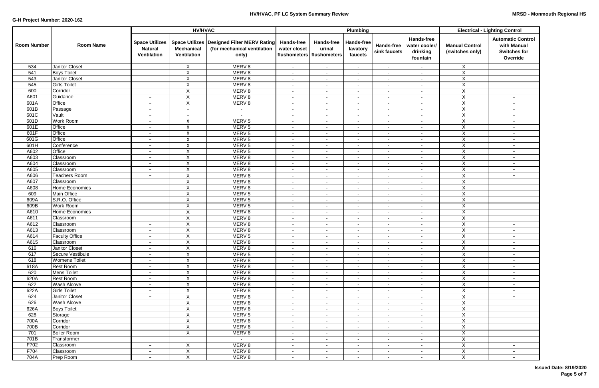|                    |                                    |                                                        | <b>HV/HVAC</b>                          |                                                                                      |                                                                  |                             | Plumbing                           |                                   | <b>Electrical - Lighting Control</b>                       |                                          |                                                                            |
|--------------------|------------------------------------|--------------------------------------------------------|-----------------------------------------|--------------------------------------------------------------------------------------|------------------------------------------------------------------|-----------------------------|------------------------------------|-----------------------------------|------------------------------------------------------------|------------------------------------------|----------------------------------------------------------------------------|
| <b>Room Number</b> | <b>Room Name</b>                   | <b>Space Utilizes</b><br><b>Natural</b><br>Ventilation | <b>Mechanical</b><br><b>Ventilation</b> | Space Utilizes   Designed Filter MERV Rating<br>(for mechanical ventilation<br>only) | <b>Hands-free</b><br>water closet<br>flushometers   flushometers | <b>Hands-free</b><br>urinal | Hands-free<br>lavatory<br>faucets  | <b>Hands-free</b><br>sink faucets | <b>Hands-free</b><br>water cooler/<br>drinking<br>fountain | <b>Manual Control</b><br>(switches only) | <b>Automatic Control</b><br>with Manual<br><b>Switches for</b><br>Override |
| 534                | <b>Janitor Closet</b>              | $\overline{\phantom{a}}$                               | $\mathsf{X}$                            | MERV <sub>8</sub>                                                                    | $\sim$                                                           | $\sim$                      | $\sim$                             | $\sim$                            | $\sim$                                                     | X                                        | $\qquad \qquad -$                                                          |
| 541                | <b>Boys Toilet</b>                 | $\overline{\phantom{a}}$                               | X                                       | MERV <sub>8</sub>                                                                    | $\overline{\phantom{a}}$                                         | $\sim$                      | $\blacksquare$                     | $\sim$                            | $\sim$                                                     | $\overline{X}$                           | $-$                                                                        |
| 543                | <b>Janitor Closet</b>              | $\overline{\phantom{0}}$                               | X                                       | MERV <sub>8</sub>                                                                    | $\overline{\phantom{a}}$                                         | $\sim$                      | $\blacksquare$                     | $\sim$                            | $\sim$                                                     | $\overline{X}$                           | $-$                                                                        |
| 545                | <b>Girls Toilet</b>                | $\overline{\phantom{0}}$                               | X                                       | MERV <sub>8</sub>                                                                    | $\blacksquare$                                                   | $\overline{\phantom{a}}$    | $\overline{\phantom{a}}$           | $\overline{\phantom{a}}$          | $\sim$                                                     | X                                        | $-$                                                                        |
| 600                | Corridor                           | $\overline{\phantom{0}}$                               | $\pmb{\times}$                          | MERV <sub>8</sub>                                                                    | $\blacksquare$                                                   | $\sim$                      | $\overline{\phantom{a}}$           | $\sim$                            | $\sim$                                                     | $\overline{X}$                           | $\qquad \qquad -$                                                          |
| A601               | Guidance                           | $\qquad \qquad -$                                      | X                                       | MERV <sub>8</sub>                                                                    | $\overline{\phantom{a}}$                                         | $\overline{\phantom{a}}$    | $\overline{\phantom{a}}$           | $\sim$                            | $\sim$                                                     | X                                        | $-$                                                                        |
| 601A               | Office                             | $\qquad \qquad -$                                      | $\boldsymbol{\mathsf{X}}$               | MERV 8                                                                               | $\overline{\phantom{a}}$                                         | $\sim$                      | $\overline{\phantom{a}}$           | $\sim$                            | $\sim$                                                     | X                                        | $-$                                                                        |
| 601B               | Passage                            | $\overline{\phantom{0}}$                               | $\overline{\phantom{0}}$                | $\sim$                                                                               | $\overline{\phantom{a}}$                                         | $\sim$                      | $\overline{\phantom{a}}$           | $\sim$                            | $\sim$                                                     | $\overline{X}$                           | $-$                                                                        |
| 601C               | Vault                              | $\overline{\phantom{m}}$                               | $\overline{\phantom{m}}$                | $\sim$                                                                               | $\overline{\phantom{a}}$                                         | $\sim$                      | $\sim$                             | $\sim$                            | $\sim$                                                     | $\mathsf X$                              | $-$                                                                        |
| 601D               | <b>Work Room</b>                   | $\overline{\phantom{m}}$                               | X                                       | MERV <sub>5</sub>                                                                    | $\overline{\phantom{a}}$                                         | $\sim$                      | $\sim$                             | $\sim$                            | $\sim$                                                     | $\mathsf X$                              | $\qquad \qquad -$                                                          |
| 601E               | Office                             | $\qquad \qquad -$                                      | X                                       | MERV <sub>5</sub>                                                                    | $\overline{\phantom{a}}$                                         | $\sim$                      | $\blacksquare$                     | $\sim$                            | $\sim$                                                     | X                                        | $-$                                                                        |
| 601F               | <b>Office</b>                      | $\qquad \qquad -$                                      | X                                       | MERV <sub>5</sub>                                                                    | $\overline{\phantom{a}}$                                         | $\sim$                      | $\sim$                             | $\sim$                            | $\sim$                                                     | $\mathsf{X}$                             | $-$                                                                        |
| 601G               | Office                             | $\overline{\phantom{0}}$                               | $\pmb{\times}$                          | MERV <sub>5</sub>                                                                    | $\overline{\phantom{a}}$                                         | $\sim$                      | $\sim$                             | $\sim$                            | $\sim$                                                     | $\mathsf{X}$                             | $-$                                                                        |
| 601H               | Conference                         | $\overline{\phantom{a}}$                               | X                                       | MERV <sub>5</sub>                                                                    | $\overline{\phantom{a}}$                                         | $\sim$                      | $\overline{\phantom{a}}$           | $\sim$                            | $\sim$                                                     | Χ                                        | $-$                                                                        |
| A602<br>A603       | Office<br>Classroom                | $\overline{\phantom{0}}$<br>$\qquad \qquad -$          | $\pmb{\times}$<br>$\pmb{\times}$        | MERV <sub>5</sub><br>MERV <sub>8</sub>                                               | $\overline{\phantom{a}}$                                         |                             |                                    | $\sim$                            |                                                            | $\mathsf X$<br>$\overline{X}$            | $-$                                                                        |
| A604               | Classroom                          | $\overline{\phantom{m}}$                               | X                                       | MERV <sub>8</sub>                                                                    | $\blacksquare$<br>$\overline{\phantom{a}}$                       | $\sim$<br>$\sim$            | $\overline{\phantom{a}}$<br>$\sim$ | $\sim$<br>$\sim$                  | $\sim$                                                     | X                                        | $\qquad \qquad -$<br>$\qquad \qquad -$                                     |
| A605               | Classroom                          | $\overline{\phantom{a}}$                               | X                                       | MERV <sub>8</sub>                                                                    | $\blacksquare$                                                   | $\sim$                      | $\blacksquare$                     | $\sim$                            | $\sim$                                                     | X                                        | $-$                                                                        |
| A606               | <b>Teachers Room</b>               | $\overline{\phantom{0}}$                               | X                                       | MERV <sub>8</sub>                                                                    | $\blacksquare$                                                   | $\sim$                      | $\sim$                             | $\sim$                            | $\sim$                                                     | $\overline{X}$                           | $-$                                                                        |
| A607               | Classroom                          | $\overline{\phantom{0}}$                               | $\overline{\mathsf{X}}$                 | MERV <sub>8</sub>                                                                    | $\overline{\phantom{a}}$                                         | $\sim$                      | $\sim$                             | $\sim$                            | $\sim$                                                     | $\overline{X}$                           | $-$                                                                        |
| A608               | Home Economics                     | $\overline{\phantom{a}}$                               | X                                       | MERV <sub>8</sub>                                                                    | $\blacksquare$                                                   | $\sim$                      | $\overline{\phantom{a}}$           | $\overline{\phantom{a}}$          | $\sim$                                                     | X                                        | $\overline{\phantom{a}}$                                                   |
| 609                | <b>Main Office</b>                 | $\overline{\phantom{a}}$                               | X                                       | MERV <sub>5</sub>                                                                    | $\blacksquare$                                                   | $\sim$                      | $\blacksquare$                     | $\overline{\phantom{a}}$          | $\sim$                                                     | $\overline{X}$                           | $-$                                                                        |
| 609A               | S.R.O. Office                      | $\overline{\phantom{0}}$                               | X                                       | MERV <sub>5</sub>                                                                    | $\blacksquare$                                                   | $\sim$                      | $\blacksquare$                     | $\sim$                            | $\sim$                                                     | $\overline{X}$                           | $-$                                                                        |
| 609B               | <b>Work Room</b>                   | $\qquad \qquad -$                                      | $\boldsymbol{\mathsf{X}}$               | MERV <sub>5</sub>                                                                    | $\overline{\phantom{a}}$                                         | $\sim$                      | $\sim$                             | $\sim$                            | $\sim$                                                     | $\overline{X}$                           | $-$                                                                        |
| A610               | Home Economics                     | $\overline{\phantom{0}}$                               | $\mathsf X$                             | MERV <sub>8</sub>                                                                    | $\overline{\phantom{a}}$                                         | $\sim$                      | $\sim$                             | $\sim$                            | $\sim$                                                     | X                                        | $-$                                                                        |
| A611               | Classroom                          | $\overline{\phantom{a}}$                               | X                                       | MERV <sub>8</sub>                                                                    | $\overline{\phantom{a}}$                                         | $\sim$                      | $\overline{\phantom{a}}$           | $\sim$                            | $\sim$                                                     | X                                        | $\qquad \qquad -$                                                          |
| A612               | Classroom                          | $\overline{\phantom{a}}$                               | X                                       | MERV <sub>8</sub>                                                                    | $\blacksquare$                                                   | $\sim$                      | $\blacksquare$                     | $\sim$                            | $\sim$                                                     | X                                        | $-$                                                                        |
| A613               | Classroom                          | $\qquad \qquad -$                                      | X                                       | MERV <sub>8</sub>                                                                    | $\overline{\phantom{a}}$                                         | $\sim$                      | $\sim$                             | $\sim$                            | $\sim$                                                     | $\overline{X}$                           | $-$                                                                        |
| A614               | <b>Faculty Office</b>              | $\overline{\phantom{a}}$                               | X                                       | MERV <sub>5</sub>                                                                    | $\overline{\phantom{a}}$                                         | $\sim$                      | $\overline{\phantom{a}}$           | $\sim$                            | $\sim$                                                     | X                                        | $\qquad \qquad -$                                                          |
| A615               | Classroom                          | $\overline{\phantom{0}}$                               |                                         | MERV 8                                                                               |                                                                  | $\sim$                      |                                    |                                   |                                                            | X                                        | $-$                                                                        |
| 616                | <b>Janitor Closet</b>              | $\overline{\phantom{m}}$                               | X                                       | MERV 8                                                                               | $\sim$                                                           | $\sim$                      | $\overline{\phantom{a}}$           | $\sim$                            | $\sim$                                                     | X                                        | $\qquad \qquad -$                                                          |
| 617                | Secure Vestibule                   | $\overline{\phantom{m}}$                               | $\mathsf X$                             | MERV <sub>5</sub>                                                                    | ۰                                                                | $\sim$                      |                                    | $\sim$                            | $\sim$                                                     | $\mathsf X$                              | $\qquad \qquad -$                                                          |
| 618                | <b>Womens Toilet</b>               | $\overline{\phantom{m}}$                               | $\overline{X}$                          | MERV 8                                                                               | $\sim$                                                           | $\sim$                      | $\sim$                             | $\sim$                            | $\sim$                                                     | $\overline{X}$                           | $ \,$                                                                      |
| 618A               | <b>Rest Room</b>                   | $\overline{\phantom{m}}$                               | $\mathsf X$                             | MERV 8                                                                               | $\sim$                                                           | $\sim$                      | $\sim$                             | $\sim$                            | $\sim$                                                     | $\mathsf{X}$                             | $ \,$                                                                      |
| 620                | <b>Mens Toilet</b>                 | $\overline{\phantom{a}}$                               | $\mathsf{X}$                            | MERV 8                                                                               | $\sim$                                                           | $\sim$                      | $\sim$                             | $\sim$                            | $\sim$                                                     | $\mathsf X$                              | $-$                                                                        |
| 620A               | Rest Room                          | $\overline{\phantom{a}}$                               | X                                       | MERV 8                                                                               | $\overline{\phantom{a}}$                                         | $\sim$                      | $\sim$                             | $\sim$                            | $\sim$                                                     | $\mathsf{X}$                             | $-$                                                                        |
| 622<br>622A        | Wash Alcove<br><b>Girls Toilet</b> | $\overline{\phantom{0}}$                               | $\overline{X}$<br>$\mathsf X$           | MERV 8                                                                               | $\blacksquare$                                                   | $\sim$                      | $\sim$                             | $\sim$                            | $\sim$                                                     | $\overline{X}$                           | $-$                                                                        |
| 624                | <b>Janitor Closet</b>              | $\overline{\phantom{a}}$<br>$\overline{\phantom{a}}$   | X                                       | MERV 8<br>MERV 8                                                                     | $\blacksquare$                                                   | $\sim$                      | $\sim$<br>$\sim$                   | $\sim$                            | $\sim$                                                     | $\mathsf{X}$<br>$\mathsf{X}$             | $\qquad \qquad -$<br>$ \,$                                                 |
| 626                | Wash Alcove                        | $\overline{\phantom{m}}$                               | $\boldsymbol{X}$                        | MERV 8                                                                               | $\blacksquare$<br>$\overline{\phantom{a}}$                       | $\sim$<br>$\sim$            | $\sim$                             | $\sim$<br>$\sim$                  | $\sim$<br>$\sim$                                           | X                                        | $ \,$                                                                      |
| 626A               | <b>Boys Toilet</b>                 | $\overline{\phantom{a}}$                               | $\mathsf X$                             | MERV 8                                                                               | $\sim$                                                           | $\sim$                      | $\sim$                             | $\sim$                            | $\sim$                                                     | $\overline{X}$                           | $-$                                                                        |
| 628                | Storage                            | $\overline{\phantom{m}}$                               | X                                       | MERV <sub>5</sub>                                                                    | $\sim$                                                           | $\sim$                      | $\sim$                             | $\sim$                            | $\sim$                                                     | $\overline{X}$                           | $ \,$                                                                      |
| 700A               | Corridor                           | $\overline{\phantom{m}}$                               | X                                       | MERV 8                                                                               | $\sim$                                                           | $\sim$                      | $\sim$                             | $\sim$                            | $\sim$                                                     | $\overline{X}$                           | $ \,$                                                                      |
| 700B               | Corridor                           | $\overline{\phantom{m}}$                               | X                                       | MERV 8                                                                               | $\overline{\phantom{a}}$                                         | $\sim$                      | $\sim$                             | $\sim$                            | $\sim$                                                     | X                                        | $-$                                                                        |
| 701                | <b>Boiler Room</b>                 | $\overline{\phantom{a}}$                               | X                                       | MERV 8                                                                               | $\sim$                                                           | $\sim$                      | $\sim$                             | $\sim$                            | $\sim$                                                     | $\overline{X}$                           | $ \,$                                                                      |
| 701B               | Transformer                        | $\overline{\phantom{m}}$                               | $\overline{\phantom{a}}$                | $\sim$                                                                               | $\blacksquare$                                                   | $\sim$                      | $\sim$                             | $\sim$                            | $\sim$                                                     | X                                        | $ \,$                                                                      |
| F702               | Classroom                          | $\overline{\phantom{a}}$                               | X                                       | MERV 8                                                                               | $\sim$                                                           | $\sim$                      | $\sim$                             | $\sim$                            | $\sim$                                                     | X                                        | $-$                                                                        |
| F704               | Classroom                          | $\overline{\phantom{m}}$                               | X                                       | MERV 8                                                                               | $\blacksquare$                                                   | $\sim$                      | $\sim$                             | $\sim$                            | $\sim$                                                     | X                                        | $\qquad \qquad -$                                                          |
| 704A               | Prep Room                          | $\overline{\phantom{m}}$                               | $\overline{\mathsf{X}}$                 | MERV 8                                                                               | $\sim$                                                           | $\sim$                      | $\sim$                             | $\sim$                            | $\sim$                                                     | $\overline{X}$                           | $ \,$                                                                      |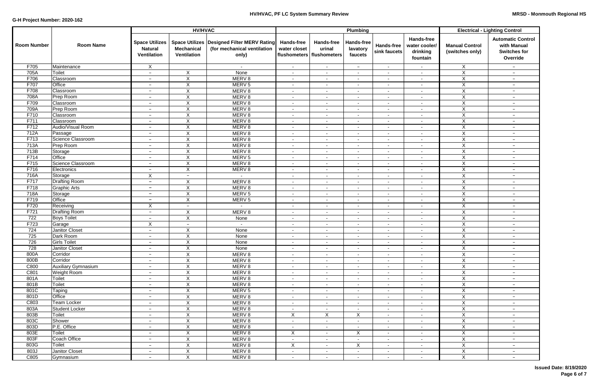|                    |                              |                                                        | <b>HV/HVAC</b>                          |                                                                                      |                                                                  |                             | Plumbing                                 |                            | <b>Electrical - Lighting Control</b>                       |                                          |                                                                            |
|--------------------|------------------------------|--------------------------------------------------------|-----------------------------------------|--------------------------------------------------------------------------------------|------------------------------------------------------------------|-----------------------------|------------------------------------------|----------------------------|------------------------------------------------------------|------------------------------------------|----------------------------------------------------------------------------|
| <b>Room Number</b> | <b>Room Name</b>             | <b>Space Utilizes</b><br><b>Natural</b><br>Ventilation | <b>Mechanical</b><br><b>Ventilation</b> | Space Utilizes   Designed Filter MERV Rating<br>(for mechanical ventilation<br>only) | <b>Hands-free</b><br>water closet<br>flushometers   flushometers | <b>Hands-free</b><br>urinal | <b>Hands-free</b><br>lavatory<br>faucets | Hands-free<br>sink faucets | <b>Hands-free</b><br>water cooler/<br>drinking<br>fountain | <b>Manual Control</b><br>(switches only) | <b>Automatic Control</b><br>with Manual<br><b>Switches for</b><br>Override |
| F705               | Maintenance                  | X                                                      |                                         | $\overline{\phantom{a}}$                                                             | $\sim$                                                           | $\sim$                      | $-$                                      | $\sim$                     |                                                            | X                                        | $\overline{\phantom{a}}$                                                   |
| 705A               | <b>Toilet</b>                | $\overline{\phantom{a}}$                               | X                                       | None                                                                                 | $\sim$                                                           | $\sim$                      | $\blacksquare$                           | $\sim$                     | $\sim$                                                     | $\overline{X}$                           | $\overline{\phantom{a}}$                                                   |
| F706               | <b>Classroom</b>             | $\overline{\phantom{0}}$                               | $\boldsymbol{\mathsf{X}}$               | MERV <sub>8</sub>                                                                    | $\overline{\phantom{a}}$                                         | $\overline{\phantom{a}}$    | $\blacksquare$                           | $\overline{\phantom{a}}$   |                                                            | X                                        | $\overline{\phantom{a}}$                                                   |
| F707               | Office                       | $\overline{\phantom{m}}$                               | X                                       | MERV <sub>5</sub>                                                                    | $\sim$                                                           | $\overline{\phantom{a}}$    | $\blacksquare$                           | $\overline{\phantom{a}}$   | $\sim$                                                     | X                                        | $-$                                                                        |
| F708               | Classroom                    | $\overline{\phantom{0}}$                               | $\times$                                | MERV 8                                                                               | $\overline{\phantom{a}}$                                         | $\sim$                      | $\blacksquare$                           | $\overline{\phantom{a}}$   | $\sim$                                                     | X                                        | $\overline{\phantom{m}}$                                                   |
| 708A               | Prep Room                    | $\qquad \qquad -$                                      | X                                       | MERV <sub>8</sub>                                                                    | $\overline{\phantom{a}}$                                         | $\sim$                      | $\sim$                                   | $\sim$                     | $\sim$                                                     | $\overline{\mathsf{X}}$                  | $-$                                                                        |
| F709               | Classroom                    | $\overline{\phantom{m}}$                               | $\boldsymbol{\mathsf{X}}$               | MERV <sub>8</sub>                                                                    | $\overline{\phantom{a}}$                                         | $\overline{\phantom{a}}$    | $\blacksquare$                           | $\sim$                     | $\sim$                                                     | $\mathsf{X}$                             | $-$                                                                        |
| 709A               | Prep Room                    | $\overline{\phantom{m}}$                               | $\boldsymbol{\mathsf{X}}$               | MERV <sub>8</sub>                                                                    | $\overline{\phantom{a}}$                                         | $\sim$                      | $\sim$                                   | $\sim$                     | $\sim$                                                     | $\mathsf X$                              | $\qquad \qquad -$                                                          |
| F710               | Classroom                    | $\overline{\phantom{m}}$                               | X                                       | MERV <sub>8</sub>                                                                    | $\sim$                                                           | $\sim$                      | $\overline{\phantom{a}}$                 | $\sim$                     | $\blacksquare$                                             | $\mathsf{X}$                             | $-$                                                                        |
| F711               | Classroom                    | $\overline{\phantom{a}}$                               | X                                       | MERV <sub>8</sub>                                                                    | $\sim$                                                           | $\overline{\phantom{a}}$    | $\blacksquare$                           | $\blacksquare$             | $\sim$                                                     | $\mathsf{X}$                             | $-$                                                                        |
| F712               | Audio/Visual Room            | $\overline{\phantom{m}}$                               | $\boldsymbol{\mathsf{X}}$               | MERV <sub>8</sub>                                                                    | $\blacksquare$                                                   | $\overline{\phantom{a}}$    | $\sim$                                   | $\blacksquare$             | $\sim$                                                     | X                                        | $-$                                                                        |
| 712A               | Passage                      | $\qquad \qquad -$                                      | $\boldsymbol{\mathsf{X}}$               | MERV <sub>8</sub>                                                                    | $\blacksquare$                                                   | $\blacksquare$              | $\overline{\phantom{a}}$                 | $\overline{\phantom{a}}$   | $\sim$                                                     | X                                        | $-$                                                                        |
| F713               | Science Classroom            | $\overline{\phantom{0}}$                               | $\mathsf X$                             | MERV 8                                                                               | $\overline{\phantom{a}}$                                         | $\sim$                      | $\overline{\phantom{a}}$                 | $\blacksquare$             | $\blacksquare$                                             | $\pmb{\times}$                           | $\overline{\phantom{a}}$                                                   |
| 713A               | Prep Room                    | $\overline{\phantom{a}}$                               | X                                       | MERV 8                                                                               | $\sim$                                                           | $\sim$                      | $\sim$                                   | $\sim$                     | $\sim$                                                     | $\overline{X}$                           | $\qquad \qquad -$                                                          |
| 713B               | Storage                      | $\overline{\phantom{m}}$                               | X                                       | MERV <sub>8</sub>                                                                    | $\overline{\phantom{a}}$                                         | $\sim$                      | $\blacksquare$                           | $\sim$                     |                                                            | $\pmb{\times}$                           | $\qquad \qquad -$                                                          |
| F714               | Office                       | $\overline{\phantom{m}}$                               | $\boldsymbol{\mathsf{X}}$               | MERV <sub>5</sub>                                                                    | $\sim$                                                           | $\sim$                      | $\sim$                                   | $\sim$                     | $\sim$                                                     | $\overline{X}$                           | $\overline{\phantom{m}}$                                                   |
| F715               | Science Classroom            | $\overline{\phantom{m}}$                               | $\overline{\mathsf{x}}$                 | MERV <sub>8</sub>                                                                    | $\sim$                                                           | $\sim$                      | $\sim$                                   | $\sim$                     | $\blacksquare$                                             | $\overline{X}$                           | $\overline{\phantom{a}}$                                                   |
| F716               | Electronics                  | $\overline{\phantom{a}}$                               | X                                       | MERV <sub>8</sub>                                                                    | $\overline{\phantom{a}}$                                         | $\overline{\phantom{a}}$    | $\overline{\phantom{a}}$                 | $\blacksquare$             | $\overline{\phantom{a}}$                                   | $\overline{X}$                           | $\overline{\phantom{a}}$                                                   |
| 716A               | Storage                      | X                                                      | $\overline{\phantom{a}}$                | $\sim$                                                                               | $\overline{\phantom{a}}$                                         | $\blacksquare$              | $\blacksquare$                           | $\sim$                     | $\overline{\phantom{a}}$                                   | $\overline{X}$                           | $\overline{\phantom{a}}$                                                   |
| F717               | <b>Drafting Room</b>         | $\overline{\phantom{a}}$                               | X                                       | MERV <sub>8</sub>                                                                    | $\blacksquare$                                                   | $\blacksquare$              | $\blacksquare$                           | $\overline{\phantom{a}}$   | $\blacksquare$                                             | X                                        | $\overline{\phantom{a}}$                                                   |
| F718               | <b>Graphic Arts</b>          | $\overline{\phantom{0}}$                               | $\boldsymbol{\mathsf{X}}$               | MERV <sub>8</sub>                                                                    | $\overline{\phantom{a}}$                                         | $\sim$                      | $\blacksquare$                           | $\overline{\phantom{a}}$   | $\blacksquare$                                             | X                                        | $\overline{\phantom{a}}$                                                   |
| 718A               | Storage                      | $\overline{\phantom{a}}$                               | X                                       | MERV <sub>5</sub>                                                                    | $\overline{\phantom{a}}$                                         | $\blacksquare$              | $\blacksquare$                           | $\sim$                     | ۰                                                          | $\overline{X}$                           | $\overline{\phantom{m}}$                                                   |
| F719               | Office                       | $\qquad \qquad -$                                      | X                                       | MERV <sub>5</sub>                                                                    | $\overline{\phantom{a}}$                                         | $\sim$                      | $\blacksquare$                           | $\sim$                     | $\sim$                                                     | $\overline{X}$                           | $-$                                                                        |
| F720               | Receiving                    | X                                                      | $\overline{\phantom{a}}$                | $\sim$                                                                               | $\sim$                                                           | $\overline{\phantom{a}}$    | $\overline{\phantom{a}}$                 | $\sim$                     |                                                            | X                                        | $-$                                                                        |
| F721               | <b>Drafting Room</b>         | $\overline{\phantom{m}}$                               | $\boldsymbol{\mathsf{X}}$               | MERV <sub>8</sub>                                                                    | $\overline{\phantom{a}}$                                         | $\sim$                      | $\blacksquare$                           | $\sim$                     | $\sim$                                                     | $\overline{X}$                           | $-$                                                                        |
| 722<br>F723        | <b>Boys Toilet</b><br>Garage | $\overline{\phantom{m}}$<br>$\sf X$                    | X                                       | None<br>$\sim$                                                                       | $\overline{\phantom{a}}$                                         | $\sim$                      | $\sim$<br>$\blacksquare$                 | $\sim$<br>$\sim$           | $\overline{\phantom{a}}$                                   | X<br>X                                   | $-$                                                                        |
| 724                | <b>Janitor Closet</b>        | $\qquad \qquad -$                                      | $\overline{\phantom{a}}$<br>X           | None                                                                                 | $\sim$<br>$\overline{\phantom{a}}$                               | $\sim$<br>$\blacksquare$    | $\blacksquare$                           | $\overline{\phantom{a}}$   | $\sim$<br>$\overline{\phantom{a}}$                         | X                                        | $-$<br>$-$                                                                 |
| 725                | Dark Room                    | $\overline{\phantom{m}}$                               | X                                       | None                                                                                 | $\sim$                                                           | $\sim$                      | $\blacksquare$                           | $\sim$                     | $\sim$                                                     | X                                        | $-$                                                                        |
| 726                | <b>Girls Toilet</b>          | $\overline{\phantom{a}}$                               | X                                       | None                                                                                 | $\sim$                                                           | $\sim$                      | $\blacksquare$                           | $\blacksquare$             | $\sim$                                                     | X.                                       | $-$                                                                        |
| 728                | Janitor Closet               | $\overline{\phantom{m}}$                               | X                                       | None                                                                                 | $\sim$                                                           | $\overline{\phantom{a}}$    |                                          | $\sim$                     | $\overline{\phantom{a}}$                                   | $\mathsf{X}$                             |                                                                            |
| 800A               | Corridor                     | $\overline{\phantom{a}}$                               | $\overline{X}$                          | MERV 8                                                                               | $\blacksquare$                                                   | $\blacksquare$              | $\sim$                                   | $\sim$                     | $\sim$                                                     | $\overline{X}$                           | $-$                                                                        |
| 800B               | Corridor                     | $\overline{\phantom{m}}$                               | $\boldsymbol{\mathsf{X}}$               | MERV 8                                                                               | $\sim$                                                           | $\sim$                      | $\sim$                                   | $\sim$                     | $\sim$                                                     | $\overline{X}$                           | $\qquad \qquad -$                                                          |
| C800               | <b>Auxiliary Gymnasium</b>   | $\overline{\phantom{m}}$                               | X                                       | MERV 8                                                                               | $\overline{\phantom{a}}$                                         | $\overline{\phantom{a}}$    | $\sim$                                   | $\sim$                     | $\sim$                                                     | $\mathsf{X}$                             | $\qquad \qquad -$                                                          |
| C801               | <b>Weight Room</b>           | $\overline{\phantom{m}}$                               | X                                       | MERV 8                                                                               | $\sim$                                                           | $\sim$                      | $\sim$                                   | $\overline{\phantom{a}}$   | $\sim$                                                     | $\pmb{\times}$                           | $-$                                                                        |
| 801A               | Toilet                       | $\overline{\phantom{m}}$                               | $\pmb{\times}$                          | MERV 8                                                                               | $\sim$                                                           | $\sim$                      | $\sim$                                   | $\overline{\phantom{a}}$   | $\sim$                                                     | $\overline{X}$                           | $\qquad \qquad -$                                                          |
| 801B               | Toilet                       | $\overline{\phantom{0}}$                               | $\boldsymbol{\mathsf{X}}$               | MERV 8                                                                               | $\sim$                                                           | $\sim$                      | $\sim$                                   | $\sim$                     | $\sim$                                                     | $\overline{X}$                           | $\overline{\phantom{a}}$                                                   |
| 801C               | Taping                       | $\overline{\phantom{m}}$                               | $\boldsymbol{\mathsf{X}}$               | MERV <sub>5</sub>                                                                    | $\overline{\phantom{a}}$                                         | $\blacksquare$              | ۰                                        | $\sim$                     | $\sim$                                                     | $\mathsf{X}$                             | $\qquad \qquad -$                                                          |
| 801D               | Office                       | $\overline{\phantom{m}}$                               | $\boldsymbol{\mathsf{X}}$               | MERV 8                                                                               | $\blacksquare$                                                   | $\overline{\phantom{a}}$    | ۰                                        | $\sim$                     | ۰                                                          | $\overline{X}$                           | $-$                                                                        |
| C803               | Team Locker                  | $\overline{\phantom{m}}$                               | $\boldsymbol{\mathsf{X}}$               | MERV 8                                                                               | $\overline{\phantom{a}}$                                         | $\blacksquare$              | $\sim$                                   | $\sim$                     | $\sim$                                                     | $\overline{X}$                           | $-$                                                                        |
| 803A               | <b>Student Locker</b>        | $\overline{\phantom{m}}$                               | $\boldsymbol{\mathsf{X}}$               | MERV 8                                                                               | $\overline{\phantom{a}}$                                         | $\overline{\phantom{a}}$    | $\sim$                                   | $\sim$                     | $\sim$                                                     | $\mathsf X$                              | $-$                                                                        |
| 803B               | Toilet                       | $\overline{\phantom{m}}$                               | X                                       | MERV <sub>8</sub>                                                                    | $\boldsymbol{\mathsf{X}}$                                        | X                           | X                                        | $\sim$                     | $\sim$                                                     | X                                        | $-$                                                                        |
| 803C               | Shower                       | $\overline{\phantom{a}}$                               | X                                       | MERV 8                                                                               | $\sim$                                                           | $\overline{\phantom{a}}$    | $\sim$                                   | $\sim$                     | $\sim$                                                     | X                                        | $-$                                                                        |
| 803D               | P.E. Office                  | $\overline{\phantom{a}}$                               | X                                       | MERV <sub>8</sub>                                                                    | $\overline{\phantom{a}}$                                         | $\overline{\phantom{a}}$    | $\blacksquare$                           | $\sim$                     | ٠.                                                         | $\overline{X}$                           | $-$                                                                        |
| 803E               | <b>Toilet</b>                | $\overline{\phantom{m}}$                               | X                                       | MERV 8                                                                               | $\boldsymbol{\mathsf{X}}$                                        | $\overline{\phantom{a}}$    | X                                        | $\blacksquare$             | $\sim$                                                     | X                                        | $-$                                                                        |
| 803F               | Coach Office                 | $\overline{\phantom{m}}$                               | X                                       | MERV <sub>8</sub>                                                                    |                                                                  | $\blacksquare$              | $\blacksquare$                           | $\sim$                     | $\sim$                                                     | X                                        | $\qquad \qquad -$                                                          |
| 803G               | Toilet                       | $\overline{\phantom{a}}$                               | $\boldsymbol{\mathsf{X}}$               | MERV 8                                                                               | X                                                                | $\blacksquare$              | X                                        | $\sim$                     | $\sim$                                                     | $\overline{X}$                           | $-$                                                                        |
| 803J               | Janitor Closet               | $\overline{\phantom{m}}$                               | X                                       | MERV <sub>8</sub>                                                                    | $\overline{\phantom{a}}$                                         | ۰.                          | н.                                       | $\sim$                     | ٠.                                                         | $\overline{\mathsf{x}}$                  | $-$                                                                        |
| C805               | Gymnasium                    | $\overline{\phantom{a}}$                               | X                                       | MERV 8                                                                               | $\overline{\phantom{a}}$                                         | $\blacksquare$              | $\sim$                                   | $\overline{\phantom{a}}$   | $\blacksquare$                                             | $\mathsf{X}$                             | $\overline{\phantom{m}}$                                                   |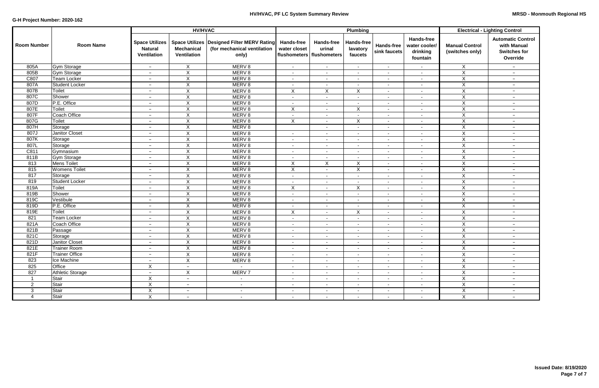|                    |                       |                                                        |                                         |                                                                                      | Plumbing                          |                                                            | <b>Electrical - Lighting Control</b> |                            |                                                            |                                          |                                                                            |
|--------------------|-----------------------|--------------------------------------------------------|-----------------------------------------|--------------------------------------------------------------------------------------|-----------------------------------|------------------------------------------------------------|--------------------------------------|----------------------------|------------------------------------------------------------|------------------------------------------|----------------------------------------------------------------------------|
| <b>Room Number</b> | <b>Room Name</b>      | <b>Space Utilizes</b><br><b>Natural</b><br>Ventilation | <b>Mechanical</b><br><b>Ventilation</b> | Space Utilizes   Designed Filter MERV Rating<br>(for mechanical ventilation<br>only) | <b>Hands-free</b><br>water closet | <b>Hands-free</b><br>urinal<br>flushometers   flushometers | Hands-free<br>lavatory<br>faucets    | Hands-free<br>sink faucets | <b>Hands-free</b><br>water cooler/<br>drinking<br>fountain | <b>Manual Control</b><br>(switches only) | <b>Automatic Control</b><br>with Manual<br><b>Switches for</b><br>Override |
| 805A               | <b>Gym Storage</b>    | $\overline{\phantom{0}}$                               | X                                       | MERV 8                                                                               | $\sim$                            | $\sim$                                                     |                                      | $\sim$                     | $\sim$                                                     | X                                        | $\overline{\phantom{a}}$                                                   |
| 805B               | Gym Storage           | $\overline{\phantom{0}}$                               | $\overline{X}$                          | MERV 8                                                                               |                                   | $\sim$                                                     | $\sim$                               | $\sim$                     | $\overline{\phantom{a}}$                                   | $\overline{X}$                           | $\overline{\phantom{m}}$                                                   |
| C807               | <b>Team Locker</b>    | $\overline{\phantom{0}}$                               | X                                       | MERV <sub>8</sub>                                                                    |                                   | $\sim$                                                     | $\sim$                               | $\sim$                     | $\sim$                                                     | X                                        | $\overline{\phantom{a}}$                                                   |
| 807A               | <b>Student Locker</b> | $\overline{\phantom{0}}$                               | X                                       | MERV <sub>8</sub>                                                                    |                                   | $\sim$                                                     | $\sim$                               | $\sim$                     | $\sim$                                                     | X                                        | $\overline{\phantom{m}}$                                                   |
| 807B               | Toilet                | $\qquad \qquad -$                                      | X                                       | MERV 8                                                                               | X                                 | X                                                          | X                                    | $\sim$                     | $\sim$                                                     | X                                        | $\overline{\phantom{m}}$                                                   |
| 807C               | Shower                | $\qquad \qquad -$                                      | $\sf X$                                 | MERV <sub>8</sub>                                                                    | $\overline{\phantom{a}}$          | $\sim$                                                     | $\sim$                               | $\sim$                     |                                                            | X                                        | $-$                                                                        |
| 807D               | P.E. Office           | $\overline{\phantom{0}}$                               | X                                       | MERV 8                                                                               | $\overline{\phantom{a}}$          |                                                            | $\sim$                               | $\sim$                     |                                                            | $\mathsf X$                              | $ \,$                                                                      |
| 807E               | Toilet                | $\overline{\phantom{m}}$                               | X                                       | MERV 8                                                                               | X                                 | $\sim$                                                     | X                                    | $\sim$                     | $\sim$                                                     | $\mathsf X$                              | $ \,$                                                                      |
| 807F               | <b>Coach Office</b>   | $\overline{\phantom{m}}$                               | X                                       | MERV 8                                                                               | $\overline{\phantom{a}}$          | $\sim$                                                     | $\sim$                               | $\sim$                     | $\sim$                                                     | X                                        | $-$                                                                        |
| 807G               | <b>Toilet</b>         | $\qquad \qquad -$                                      | X                                       | MERV 8                                                                               | X                                 | $\sim$                                                     | X                                    | $\sim$                     |                                                            | X                                        | $-$                                                                        |
| 807H               | Storage               | $\qquad \qquad -$                                      | X                                       | MERV 8                                                                               |                                   |                                                            | $\sim$                               | $\overline{\phantom{a}}$   | $\sim$                                                     | $\mathsf X$                              | $-$                                                                        |
| 807J               | Janitor Closet        | $\qquad \qquad -$                                      | X                                       | MERV <sub>8</sub>                                                                    |                                   | $\sim$                                                     | $\sim$                               | $\sim$                     | $\sim$                                                     | X                                        | $\overline{\phantom{a}}$                                                   |
| 807K               | Storage               | $\overline{\phantom{a}}$                               | Χ                                       | MERV <sub>8</sub>                                                                    | $\overline{\phantom{a}}$          | $\sim$                                                     | $\sim$                               | $\sim$                     | $\sim$                                                     | X                                        | $\overline{\phantom{a}}$                                                   |
| 807L               | Storage               | $\overline{\phantom{0}}$                               | X                                       | MERV 8                                                                               |                                   |                                                            |                                      |                            |                                                            | X                                        | $\overline{\phantom{a}}$                                                   |
| C811               | Gymnasium             | $\overline{\phantom{a}}$                               | $\pmb{\times}$                          | MERV 8                                                                               | $\sim$                            | $\sim$                                                     | $\sim$                               | $\sim$                     |                                                            | $\mathsf X$                              | $-$                                                                        |
| 811B               | <b>Gym Storage</b>    | $\overline{\phantom{m}}$                               | $\pmb{\times}$                          | MERV <sub>8</sub>                                                                    | $\overline{\phantom{a}}$          | $\sim$                                                     | $\sim$                               | $\sim$                     | $\overline{\phantom{0}}$                                   | X                                        | $\overline{\phantom{m}}$                                                   |
| 813                | <b>Mens Toilet</b>    | $\overline{\phantom{a}}$                               | X                                       | MERV <sub>8</sub>                                                                    | $\boldsymbol{\mathsf{X}}$         | X                                                          | X                                    | $\sim$                     | $\sim$                                                     | X                                        | $\overline{\phantom{a}}$                                                   |
| 815                | <b>Womens Toilet</b>  | $\overline{\phantom{m}}$                               | X                                       | MERV <sub>8</sub>                                                                    | $\pmb{\times}$                    | $\sim$                                                     | X                                    | $\sim$                     | $\overline{\phantom{0}}$                                   | X                                        | $\overline{\phantom{m}}$                                                   |
| 817                | Storage               | $\overline{\phantom{0}}$                               | $\overline{X}$                          | MERV 8                                                                               | $\overline{\phantom{a}}$          | $\sim$                                                     | $\sim$                               | $\sim$                     | $\overline{\phantom{0}}$                                   | $\overline{X}$                           | $\overline{\phantom{a}}$                                                   |
| 819                | <b>Student Locker</b> | $\qquad \qquad -$                                      | X                                       | MERV <sub>8</sub>                                                                    |                                   |                                                            | $\sim$                               | $\sim$                     |                                                            | X                                        | $\overline{\phantom{a}}$                                                   |
| 819A               | <b>Toilet</b>         | $\overline{\phantom{m}}$                               | X                                       | MERV <sub>8</sub>                                                                    | X                                 | $\overline{\phantom{a}}$                                   | X                                    | $\sim$                     | $\sim$                                                     | X                                        | $\overline{\phantom{a}}$                                                   |
| 819B               | Shower                | $\overline{\phantom{m}}$                               | X                                       | MERV <sub>8</sub>                                                                    |                                   |                                                            | $\sim$                               | $\sim$                     |                                                            | X                                        | $\overline{\phantom{a}}$                                                   |
| 819C               | Vestibule             | $\overline{\phantom{a}}$                               | X                                       | MERV <sub>8</sub>                                                                    | $\blacksquare$                    |                                                            | $\sim$                               | $\sim$                     |                                                            | $\overline{X}$                           | $ \,$                                                                      |
| 819D               | P.E. Office           | $\overline{\phantom{m}}$                               | X                                       | MERV <sub>8</sub>                                                                    | $\overline{\phantom{a}}$          | $\overline{\phantom{a}}$                                   | $\sim$                               | $\sim$                     |                                                            | X                                        | $-$                                                                        |
| 819E               | <b>Toilet</b>         | $\overline{\phantom{m}}$                               | X                                       | MERV <sub>8</sub>                                                                    | X                                 | $\sim$                                                     | X                                    | $\sim$                     | $\sim$                                                     | X                                        | $ \,$                                                                      |
| 821                | Team Locker           | $\overline{\phantom{a}}$                               | X                                       | MERV <sub>8</sub>                                                                    | $\overline{\phantom{a}}$          | $\sim$                                                     | $\sim$                               | $\sim$                     | $\sim$                                                     | X                                        | $ \,$                                                                      |
| 821A               | Coach Office          | $\overline{\phantom{0}}$                               | X                                       | MERV <sub>8</sub>                                                                    | $\overline{\phantom{a}}$          | $\sim$                                                     | $\sim$                               | $\sim$                     | $\sim$                                                     | X                                        | $\overline{\phantom{m}}$                                                   |
| 821B               | Passage               | $\overline{\phantom{0}}$                               | $\sf X$                                 | MERV <sub>8</sub>                                                                    |                                   |                                                            |                                      | $\sim$                     | $\sim$                                                     | X                                        | $\overline{\phantom{0}}$                                                   |
| 821C               | Storage               | $\overline{\phantom{a}}$                               | X                                       | MERV <sub>8</sub>                                                                    |                                   | $\sim$                                                     | $\sim$                               | $\sim$                     | $\sim$                                                     | X                                        | $\overline{\phantom{a}}$                                                   |
| 821D               | <b>Janitor Closet</b> | $\overline{\phantom{a}}$                               | X                                       | MERV 8                                                                               | $\sim$                            |                                                            |                                      | $\sim$                     |                                                            | X                                        | $\overline{\phantom{a}}$                                                   |
| 821E               | <b>Trainer Room</b>   | $\overline{\phantom{m}}$                               | X                                       | MERV 8                                                                               | $\sim$                            | $\sim$                                                     |                                      | $\sim$                     | $\overline{\phantom{a}}$                                   | X                                        |                                                                            |
| 821F               | <b>Trainer Office</b> | $-$                                                    | $\overline{X}$                          | MERV 8                                                                               | $\sim$                            | $\sim$                                                     | $\sim$                               | $\sim$                     | $\sim$                                                     | $\overline{\mathsf{X}}$                  | $ \,$                                                                      |
| 823                | Ice Machine           | $ \,$                                                  | $\mathsf X$                             | MERV 8                                                                               | $\sim$                            | $\sim$                                                     | $\sim$                               | $\sim$                     | $\sim$                                                     | $\mathsf{X}$                             | $\overline{\phantom{0}}$                                                   |
| 825                | <b>Office</b>         | $\mathsf X$                                            | $ \,$                                   | $\sim$                                                                               | $\sim$                            | $\sim$                                                     | $\sim$                               | $\sim$                     | $\sim$                                                     | X                                        | $\overline{\phantom{0}}$                                                   |
| 827                | Athletic Storage      | $-$                                                    | X                                       | MERV 7                                                                               | $\sim$                            |                                                            | $\sim$                               | $\sim$                     | $\sim$                                                     | X                                        | $\overline{\phantom{0}}$                                                   |
| $\overline{1}$     | Stair                 | $\mathsf X$                                            | $-$                                     | $\sim$                                                                               | $\overline{\phantom{a}}$          | $\sim$                                                     | $\sim$                               | $\sim$                     | $\sim$                                                     | $\overline{X}$                           | $ \,$                                                                      |
| 2                  | Stair                 | $\mathsf X$                                            | $\qquad \qquad -$                       | $\sim$                                                                               |                                   | $\sim$                                                     | $\sim$                               | $\sim$                     | $\sim$                                                     | $\mathsf X$                              | $\qquad \qquad -$                                                          |
| $\mathbf{3}$       | Stair                 | $\mathsf{X}$                                           | $-$                                     | $\sim$                                                                               | $\sim$                            | $\sim$                                                     | $\sim$                               | $\sim$                     | $\sim$                                                     | X                                        | $\overline{\phantom{0}}$                                                   |
| $\overline{4}$     | Stair                 | $\mathsf X$                                            | $-$                                     | $\sim$                                                                               | $\sim$                            | $\sim$                                                     | $\sim$                               | $\sim$                     | $\sim$                                                     | $\mathsf{X}$                             | $ \,$                                                                      |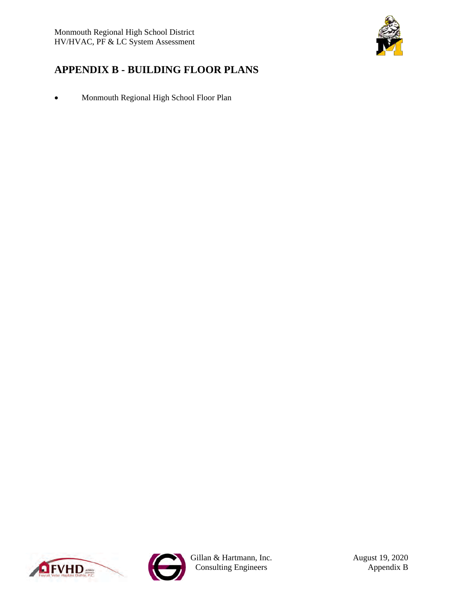

# <span id="page-13-0"></span>**APPENDIX B - BUILDING FLOOR PLANS**

• Monmouth Regional High School Floor Plan





Gillan & Hartmann, Inc. August 19, 2020 Consulting Engineers Appendix B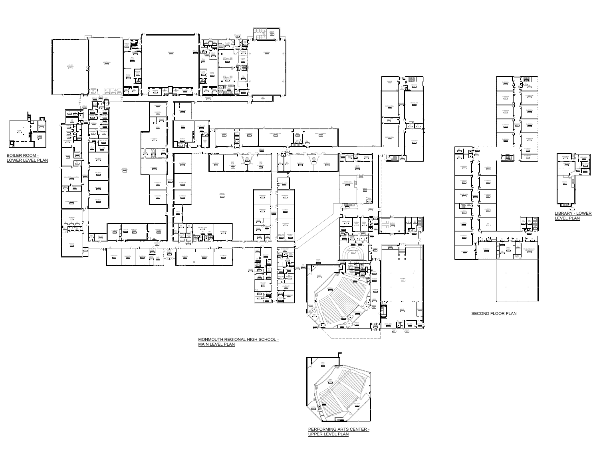

 $\frac{1}{201}$ 

 $\blacksquare$ 

 $\mathbb{E}$ 

囗



PERFORMING ARTS CENTER - UPPER LEVEL PLAN





MONMOUTH REGIONAL HIGH SCHOOL - MAIN LEVEL PLAN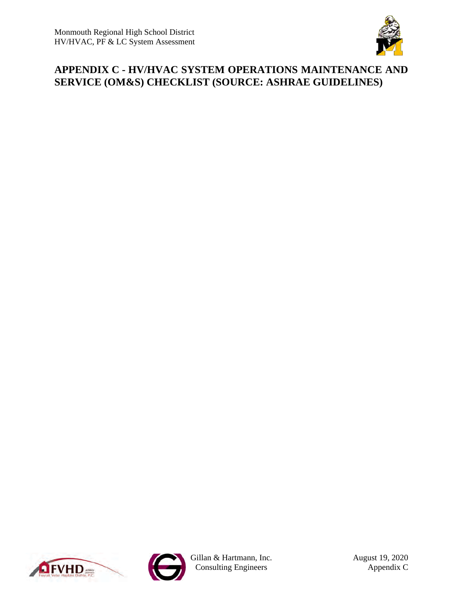

# <span id="page-15-0"></span>**APPENDIX C - HV/HVAC SYSTEM OPERATIONS MAINTENANCE AND SERVICE (OM&S) CHECKLIST (SOURCE: ASHRAE GUIDELINES)**





Gillan & Hartmann, Inc. August 19, 2020 Consulting Engineers Appendix C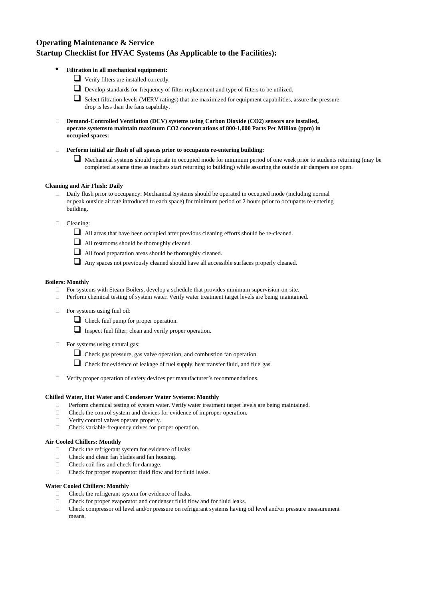# **Operating Maintenance & Service Startup Checklist for HVAC Systems (As Applicable to the Facilities):**

- **Filtration in all mechanical equipment:**
	- Verify filters are installed correctly.



- $\Box$  Select filtration levels (MERV ratings) that are maximized for equipment capabilities, assure the pressure drop is less than the fans capability.
- **Demand-Controlled Ventilation (DCV) systems using Carbon Dioxide (CO2) sensors are installed, operate systemsto maintain maximum CO2 concentrations of 800-1,000 Parts Per Million (ppm) in occupied spaces:**
- **Perform initial air flush of all spaces prior to occupants re-entering building:**
	- Mechanical systems should operate in occupied mode for minimum period of one week prior to students returning (may be completed at same time as teachers start returning to building) while assuring the outside air dampers are open.

# **Cleaning and Air Flush: Daily**

- Daily flush prior to occupancy: Mechanical Systems should be operated in occupied mode (including normal or peak outside air rate introduced to each space) for minimum period of 2 hours prior to occupants re-entering building.
- **Cleaning:** 
	- All areas that have been occupied after previous cleaning efforts should be re-cleaned.
	- All restrooms should be thoroughly cleaned.
	-
- All food preparation areas should be thoroughly cleaned.
	- Any spaces not previously cleaned should have all accessible surfaces properly cleaned.

- Check the refrigerant system for evidence of leaks.
	-
- $\Box$  Check and clean fan blades and fan housing.
- □ Check coil fins and check for damage.
- $\Box$  Check for proper evaporator fluid flow and for fluid leaks.

- $\Box$  Check the refrigerant system for evidence of leaks.
- $\Box$  Check for proper evaporator and condenser fluid flow and for fluid leaks.
- Check compressor oil level and/or pressure on refrigerant systems having oil level and/or pressure measurement means.

# **Boilers: Monthly**

- For systems with Steam Boilers, develop a schedule that provides minimum supervision on-site.
- $\Box$  Perform chemical testing of system water. Verify water treatment target levels are being maintained.
- $\Box$  For systems using fuel oil:
	- Check fuel pump for proper operation.
	- Inspect fuel filter; clean and verify proper operation.
- $\Box$  For systems using natural gas:
	- Check gas pressure, gas valve operation, and combustion fan operation.
	- $\Box$  Check for evidence of leakage of fuel supply, heat transfer fluid, and flue gas.
- Verify proper operation of safety devices per manufacturer's recommendations.

## **Chilled Water, Hot Water and Condenser Water Systems: Monthly**

- □ Perform chemical testing of system water. Verify water treatment target levels are being maintained.
- $\Box$  Check the control system and devices for evidence of improper operation.
- □ Verify control valves operate properly.
- $\Box$  Check variable-frequency drives for proper operation.

# **Air Cooled Chillers: Monthly**

### **Water Cooled Chillers: Monthly**